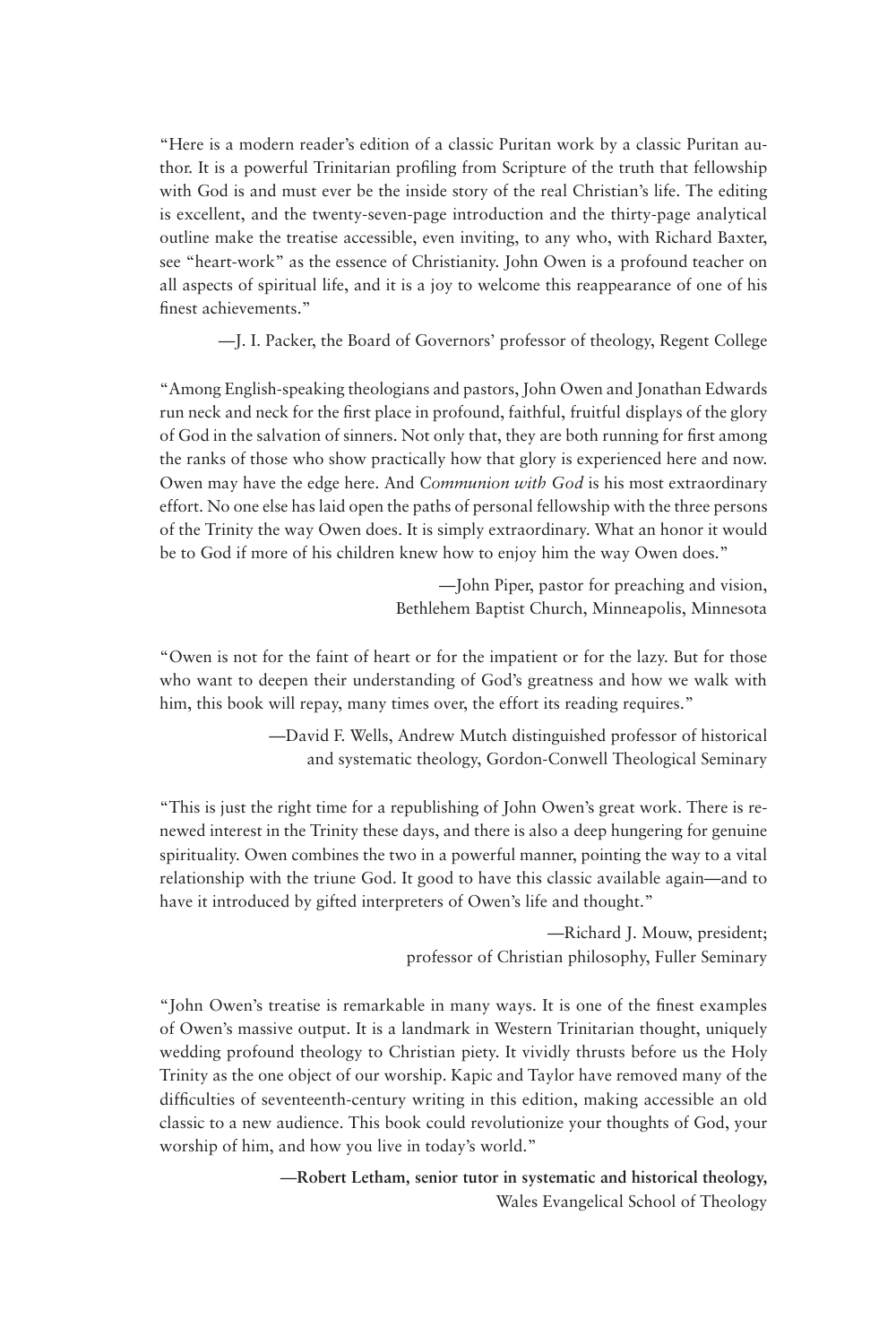"Here is a modern reader's edition of a classic Puritan work by a classic Puritan author. It is a powerful Trinitarian profiling from Scripture of the truth that fellowship with God is and must ever be the inside story of the real Christian's life. The editing is excellent, and the twenty-seven-page introduction and the thirty-page analytical outline make the treatise accessible, even inviting, to any who, with Richard Baxter, see "heart-work" as the essence of Christianity. John Owen is a profound teacher on all aspects of spiritual life, and it is a joy to welcome this reappearance of one of his finest achievements."

—J. I. Packer, the Board of Governors' professor of theology, Regent College

"Among English-speaking theologians and pastors, John Owen and Jonathan Edwards run neck and neck for the first place in profound, faithful, fruitful displays of the glory of God in the salvation of sinners. Not only that, they are both running for first among the ranks of those who show practically how that glory is experienced here and now. Owen may have the edge here. And *Communion with God* is his most extraordinary effort. No one else has laid open the paths of personal fellowship with the three persons of the Trinity the way Owen does. It is simply extraordinary. What an honor it would be to God if more of his children knew how to enjoy him the way Owen does."

> —John Piper, pastor for preaching and vision, Bethlehem Baptist Church, Minneapolis, Minnesota

"Owen is not for the faint of heart or for the impatient or for the lazy. But for those who want to deepen their understanding of God's greatness and how we walk with him, this book will repay, many times over, the effort its reading requires."

> —David F. Wells, Andrew Mutch distinguished professor of historical and systematic theology, Gordon-Conwell Theological Seminary

"This is just the right time for a republishing of John Owen's great work. There is renewed interest in the Trinity these days, and there is also a deep hungering for genuine spirituality. Owen combines the two in a powerful manner, pointing the way to a vital relationship with the triune God. It good to have this classic available again—and to have it introduced by gifted interpreters of Owen's life and thought."

> —Richard J. Mouw, president; professor of Christian philosophy, Fuller Seminary

"John Owen's treatise is remarkable in many ways. It is one of the finest examples of Owen's massive output. It is a landmark in Western Trinitarian thought, uniquely wedding profound theology to Christian piety. It vividly thrusts before us the Holy Trinity as the one object of our worship. Kapic and Taylor have removed many of the difficulties of seventeenth-century writing in this edition, making accessible an old classic to a new audience. This book could revolutionize your thoughts of God, your worship of him, and how you live in today's world."

> —**Robert Letham, senior tutor in systematic and historical theology,**  Wales Evangelical School of Theology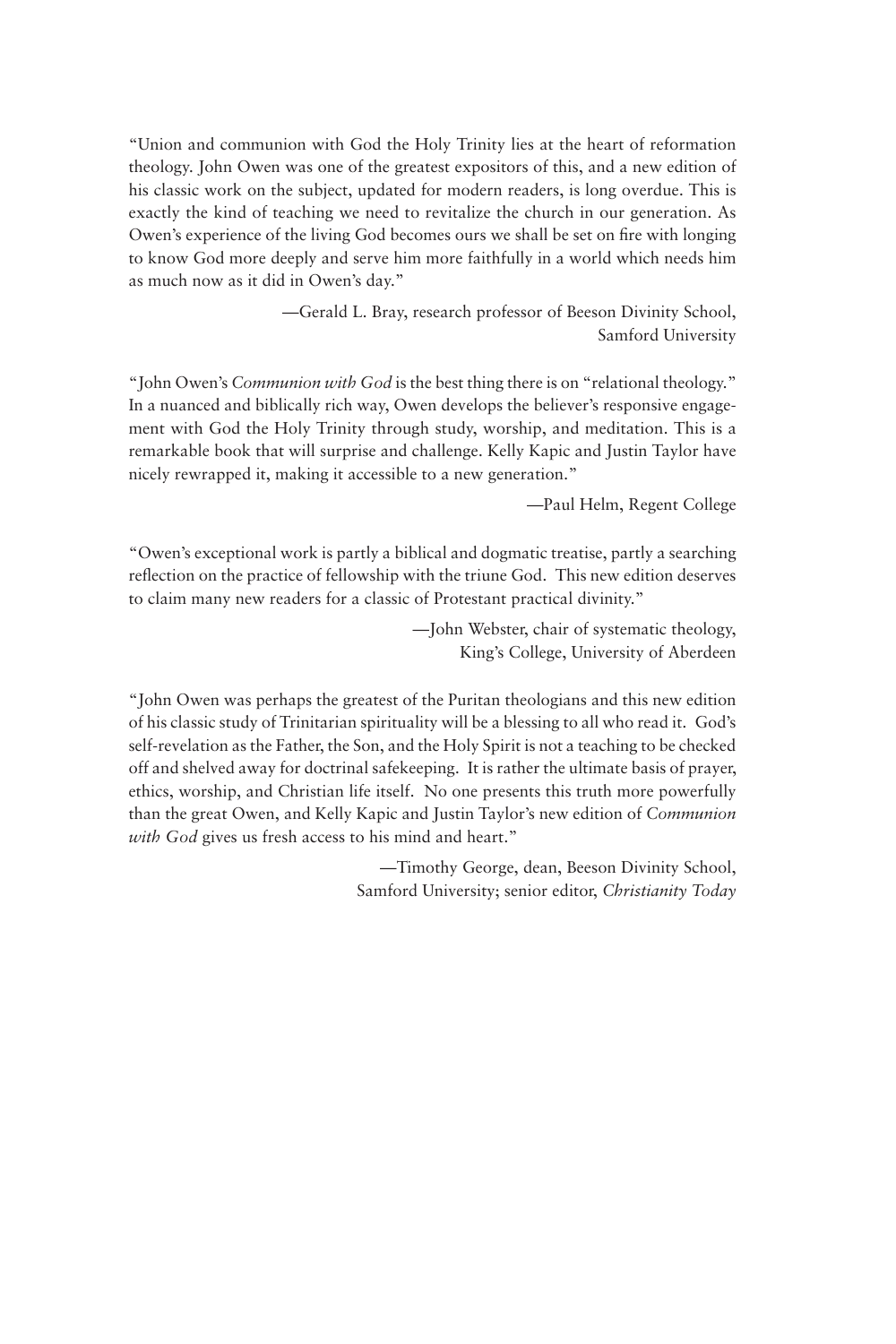"Union and communion with God the Holy Trinity lies at the heart of reformation theology. John Owen was one of the greatest expositors of this, and a new edition of his classic work on the subject, updated for modern readers, is long overdue. This is exactly the kind of teaching we need to revitalize the church in our generation. As Owen's experience of the living God becomes ours we shall be set on fire with longing to know God more deeply and serve him more faithfully in a world which needs him as much now as it did in Owen's day."

> —Gerald L. Bray, research professor of Beeson Divinity School, Samford University

"John Owen's *Communion with God* is the best thing there is on "relational theology." In a nuanced and biblically rich way, Owen develops the believer's responsive engagement with God the Holy Trinity through study, worship, and meditation. This is a remarkable book that will surprise and challenge. Kelly Kapic and Justin Taylor have nicely rewrapped it, making it accessible to a new generation."

—Paul Helm, Regent College

"Owen's exceptional work is partly a biblical and dogmatic treatise, partly a searching reflection on the practice of fellowship with the triune God. This new edition deserves to claim many new readers for a classic of Protestant practical divinity."

> —John Webster, chair of systematic theology, King's College, University of Aberdeen

"John Owen was perhaps the greatest of the Puritan theologians and this new edition of his classic study of Trinitarian spirituality will be a blessing to all who read it. God's self-revelation as the Father, the Son, and the Holy Spirit is not a teaching to be checked off and shelved away for doctrinal safekeeping. It is rather the ultimate basis of prayer, ethics, worship, and Christian life itself. No one presents this truth more powerfully than the great Owen, and Kelly Kapic and Justin Taylor's new edition of *Communion with God* gives us fresh access to his mind and heart."

> —Timothy George, dean, Beeson Divinity School, Samford University; senior editor, *Christianity Today*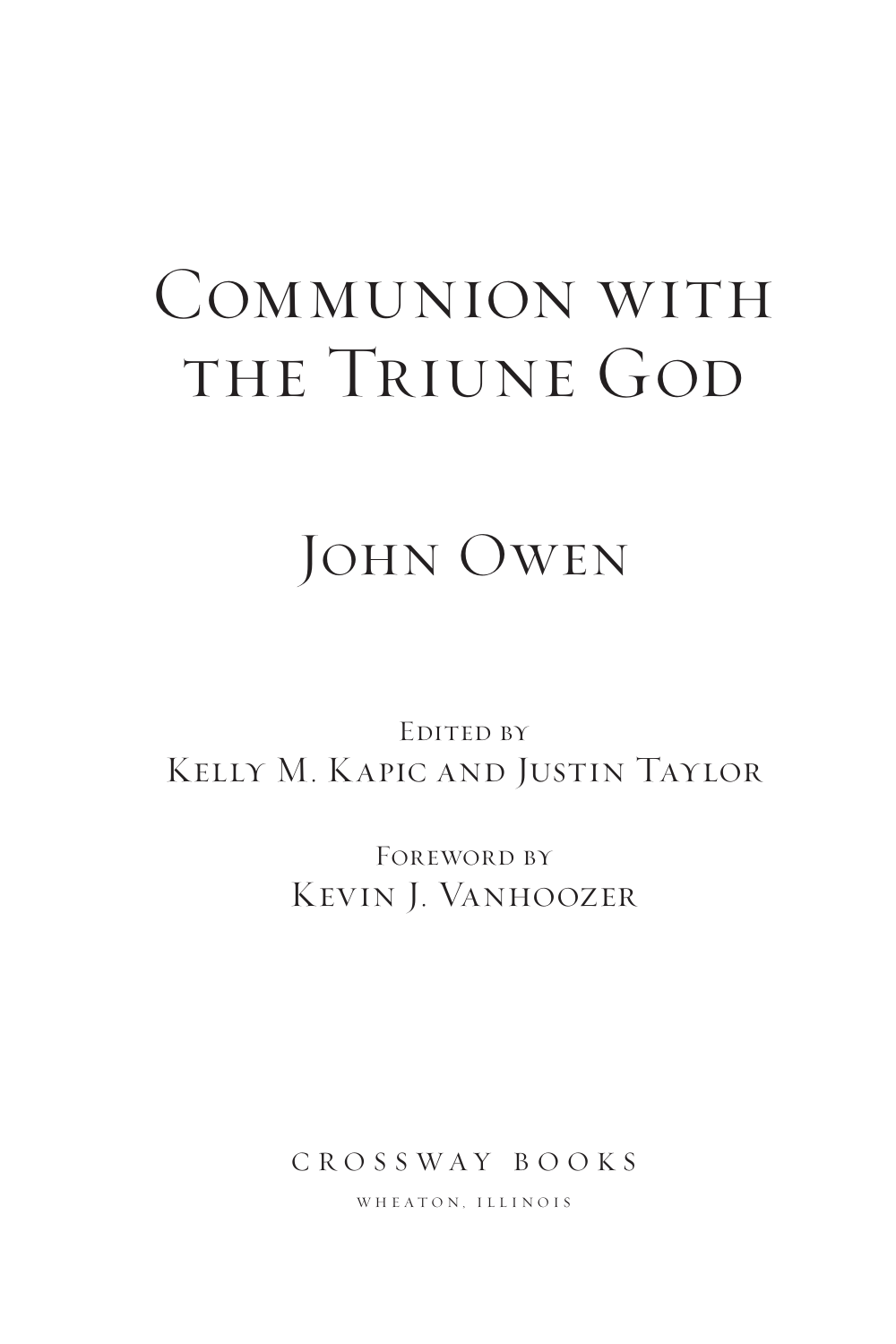# COMMUNION WITH THE TRIUNE GOD

# JOHN OWEN

EDITED BY KELLY M. KAPIC AND JUSTIN TAYLOR

> FOREWORD BY KEVIN J. VANHOOZER

> CROSSWAY BOOKS

WHEATON, ILLINOIS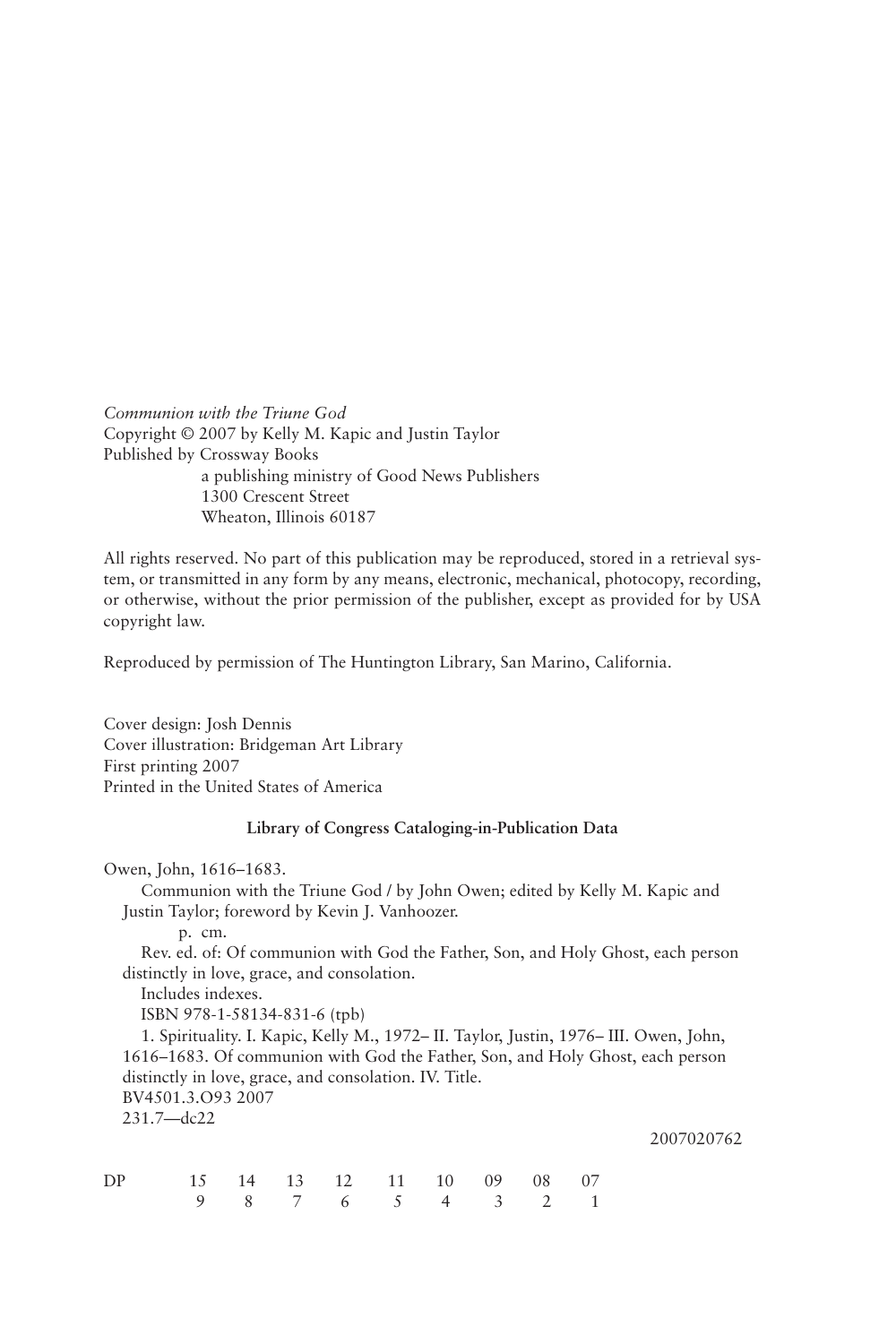*Communion with the Triune God* Copyright © 2007 by Kelly M. Kapic and Justin Taylor Published by Crossway Books a publishing ministry of Good News Publishers 1300 Crescent Street Wheaton, Illinois 60187

All rights reserved. No part of this publication may be reproduced, stored in a retrieval system, or transmitted in any form by any means, electronic, mechanical, photocopy, recording, or otherwise, without the prior permission of the publisher, except as provided for by USA copyright law.

Reproduced by permission of The Huntington Library, San Marino, California.

Cover design: Josh Dennis Cover illustration: Bridgeman Art Library First printing 2007 Printed in the United States of America

#### **Library of Congress Cataloging-in-Publication Data**

|                                                                                 | Owen, John, 1616–1683.                                                     |    |    |    |    |    |    |    |    |                                                                                       |  |
|---------------------------------------------------------------------------------|----------------------------------------------------------------------------|----|----|----|----|----|----|----|----|---------------------------------------------------------------------------------------|--|
|                                                                                 | Communion with the Triune God / by John Owen; edited by Kelly M. Kapic and |    |    |    |    |    |    |    |    |                                                                                       |  |
|                                                                                 | Justin Taylor; foreword by Kevin J. Vanhoozer.                             |    |    |    |    |    |    |    |    |                                                                                       |  |
|                                                                                 | p. cm.                                                                     |    |    |    |    |    |    |    |    |                                                                                       |  |
| Rev. ed. of: Of communion with God the Father, Son, and Holy Ghost, each person |                                                                            |    |    |    |    |    |    |    |    |                                                                                       |  |
|                                                                                 | distinctly in love, grace, and consolation.                                |    |    |    |    |    |    |    |    |                                                                                       |  |
|                                                                                 | Includes indexes.                                                          |    |    |    |    |    |    |    |    |                                                                                       |  |
|                                                                                 | ISBN 978-1-58134-831-6 (tpb)                                               |    |    |    |    |    |    |    |    |                                                                                       |  |
|                                                                                 |                                                                            |    |    |    |    |    |    |    |    | 1. Spirituality. I. Kapic, Kelly M., 1972– II. Taylor, Justin, 1976– III. Owen, John, |  |
|                                                                                 |                                                                            |    |    |    |    |    |    |    |    | 1616–1683. Of communion with God the Father, Son, and Holy Ghost, each person         |  |
|                                                                                 | distinctly in love, grace, and consolation. IV. Title.                     |    |    |    |    |    |    |    |    |                                                                                       |  |
|                                                                                 | BV4501.3. O93 2007                                                         |    |    |    |    |    |    |    |    |                                                                                       |  |
|                                                                                 | $231.7 - dc22$                                                             |    |    |    |    |    |    |    |    |                                                                                       |  |
|                                                                                 |                                                                            |    |    |    |    |    |    |    |    | 2007020762                                                                            |  |
|                                                                                 |                                                                            |    |    |    |    |    |    |    |    |                                                                                       |  |
| DP                                                                              | 1.5                                                                        | 14 | 13 | 12 | 11 | 10 | 09 | 08 | 07 |                                                                                       |  |

9 8 7 6 5 4 3 2 1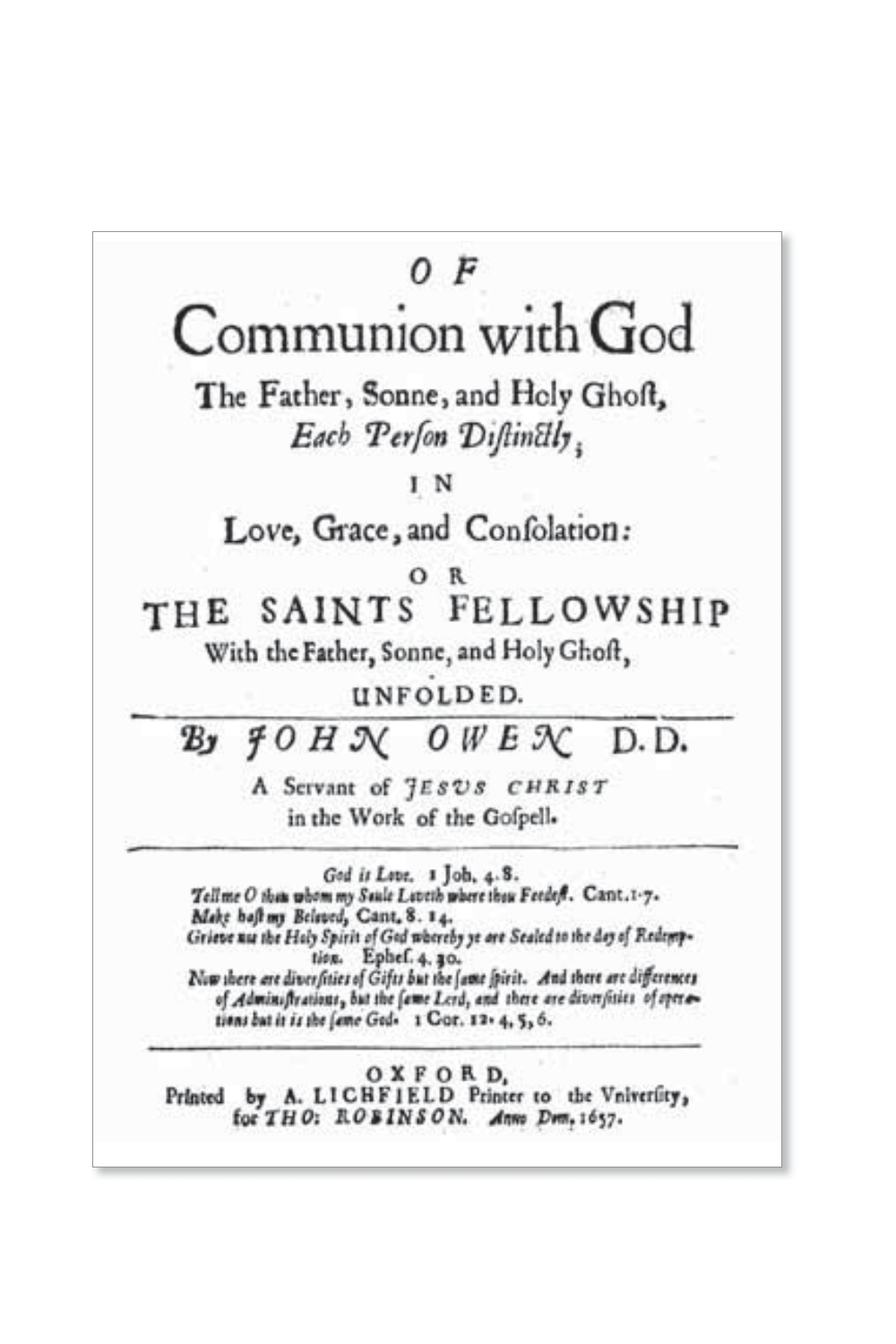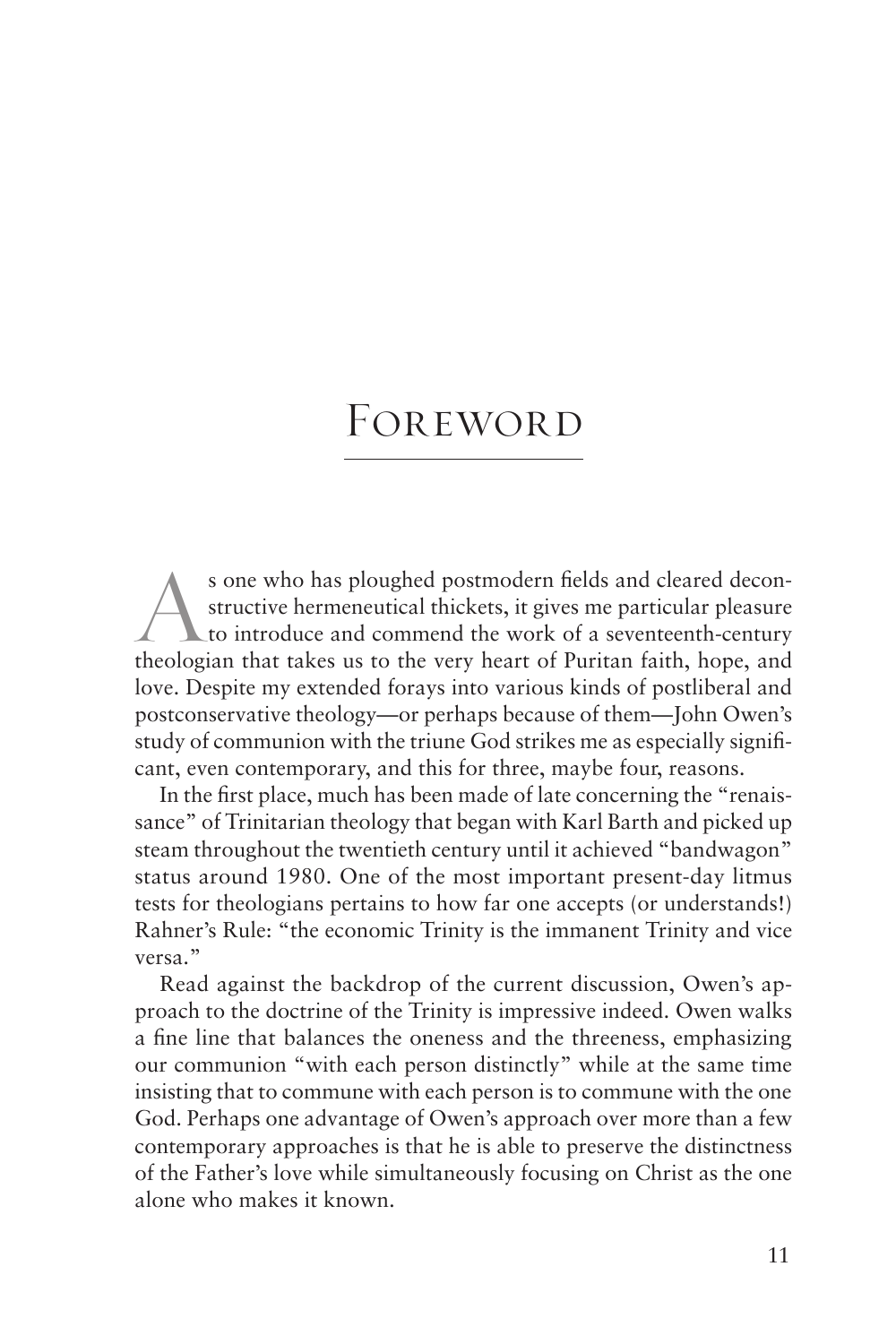### FOREWORD

s one who has ploughed postmodern fields and cleared deconstructive hermeneutical thickets, it gives me particular pleasure<br>to introduce and commend the work of a seventeenth-century<br>theologian that takes us to the very he structive hermeneutical thickets, it gives me particular pleasure to introduce and commend the work of a seventeenth-century theologian that takes us to the very heart of Puritan faith, hope, and love. Despite my extended forays into various kinds of postliberal and postconservative theology—or perhaps because of them—John Owen's study of communion with the triune God strikes me as especially significant, even contemporary, and this for three, maybe four, reasons.

In the first place, much has been made of late concerning the "renaissance" of Trinitarian theology that began with Karl Barth and picked up steam throughout the twentieth century until it achieved "bandwagon" status around 1980. One of the most important present-day litmus tests for theologians pertains to how far one accepts (or understands!) Rahner's Rule: "the economic Trinity is the immanent Trinity and vice versa."

Read against the backdrop of the current discussion, Owen's approach to the doctrine of the Trinity is impressive indeed. Owen walks a fine line that balances the oneness and the threeness, emphasizing our communion "with each person distinctly" while at the same time insisting that to commune with each person is to commune with the one God. Perhaps one advantage of Owen's approach over more than a few contemporary approaches is that he is able to preserve the distinctness of the Father's love while simultaneously focusing on Christ as the one alone who makes it known.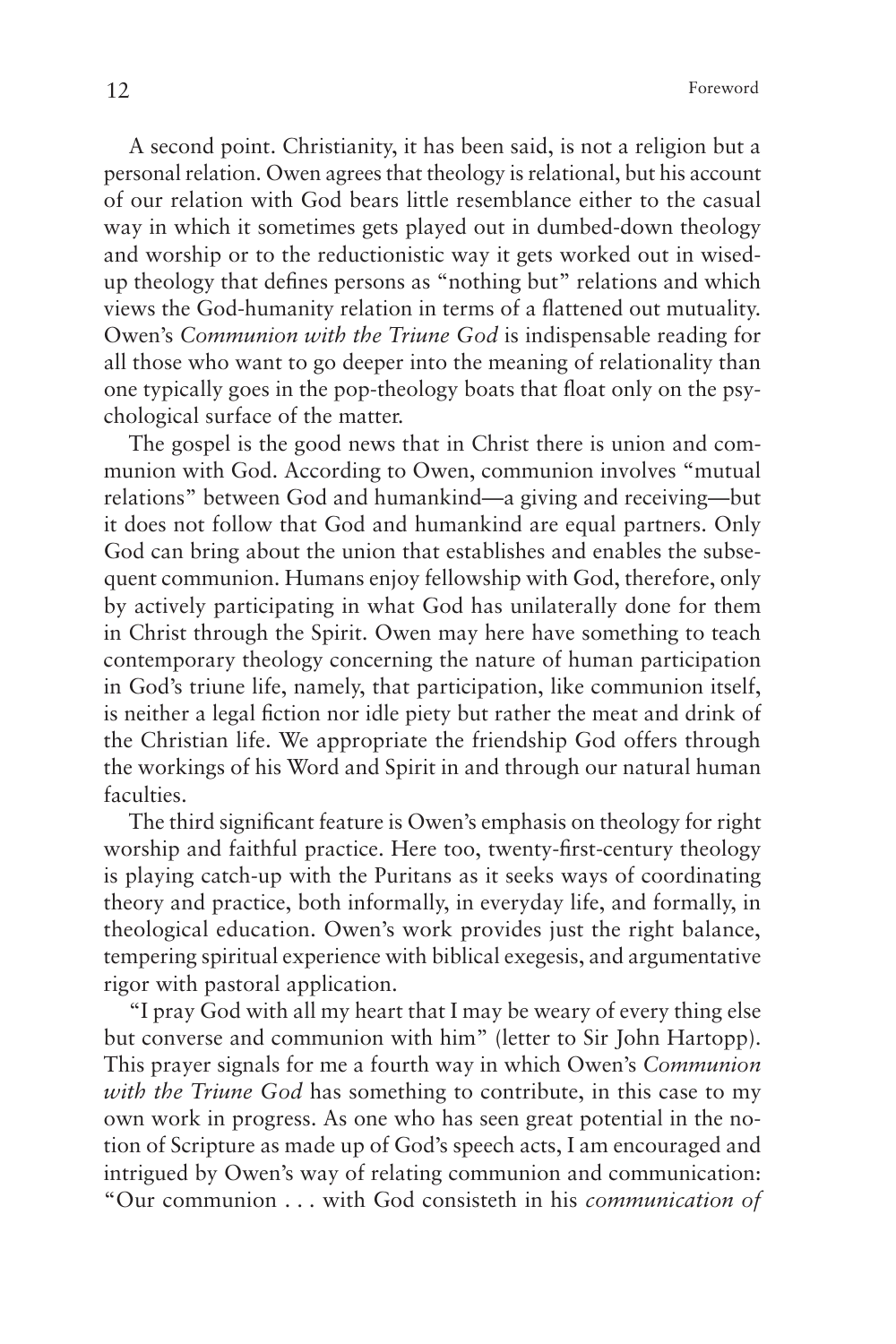A second point. Christianity, it has been said, is not a religion but a personal relation. Owen agrees that theology is relational, but his account of our relation with God bears little resemblance either to the casual way in which it sometimes gets played out in dumbed-down theology and worship or to the reductionistic way it gets worked out in wisedup theology that defines persons as "nothing but" relations and which views the God-humanity relation in terms of a flattened out mutuality. Owen's *Communion with the Triune God* is indispensable reading for all those who want to go deeper into the meaning of relationality than one typically goes in the pop-theology boats that float only on the psychological surface of the matter.

The gospel is the good news that in Christ there is union and communion with God. According to Owen, communion involves "mutual relations" between God and humankind—a giving and receiving—but it does not follow that God and humankind are equal partners. Only God can bring about the union that establishes and enables the subsequent communion. Humans enjoy fellowship with God, therefore, only by actively participating in what God has unilaterally done for them in Christ through the Spirit. Owen may here have something to teach contemporary theology concerning the nature of human participation in God's triune life, namely, that participation, like communion itself, is neither a legal fiction nor idle piety but rather the meat and drink of the Christian life. We appropriate the friendship God offers through the workings of his Word and Spirit in and through our natural human faculties.

The third significant feature is Owen's emphasis on theology for right worship and faithful practice. Here too, twenty-first-century theology is playing catch-up with the Puritans as it seeks ways of coordinating theory and practice, both informally, in everyday life, and formally, in theological education. Owen's work provides just the right balance, tempering spiritual experience with biblical exegesis, and argumentative rigor with pastoral application.

"I pray God with all my heart that I may be weary of every thing else but converse and communion with him" (letter to Sir John Hartopp). This prayer signals for me a fourth way in which Owen's *Communion with the Triune God* has something to contribute, in this case to my own work in progress. As one who has seen great potential in the notion of Scripture as made up of God's speech acts, I am encouraged and intrigued by Owen's way of relating communion and communication: "Our communion . . . with God consisteth in his *communication of*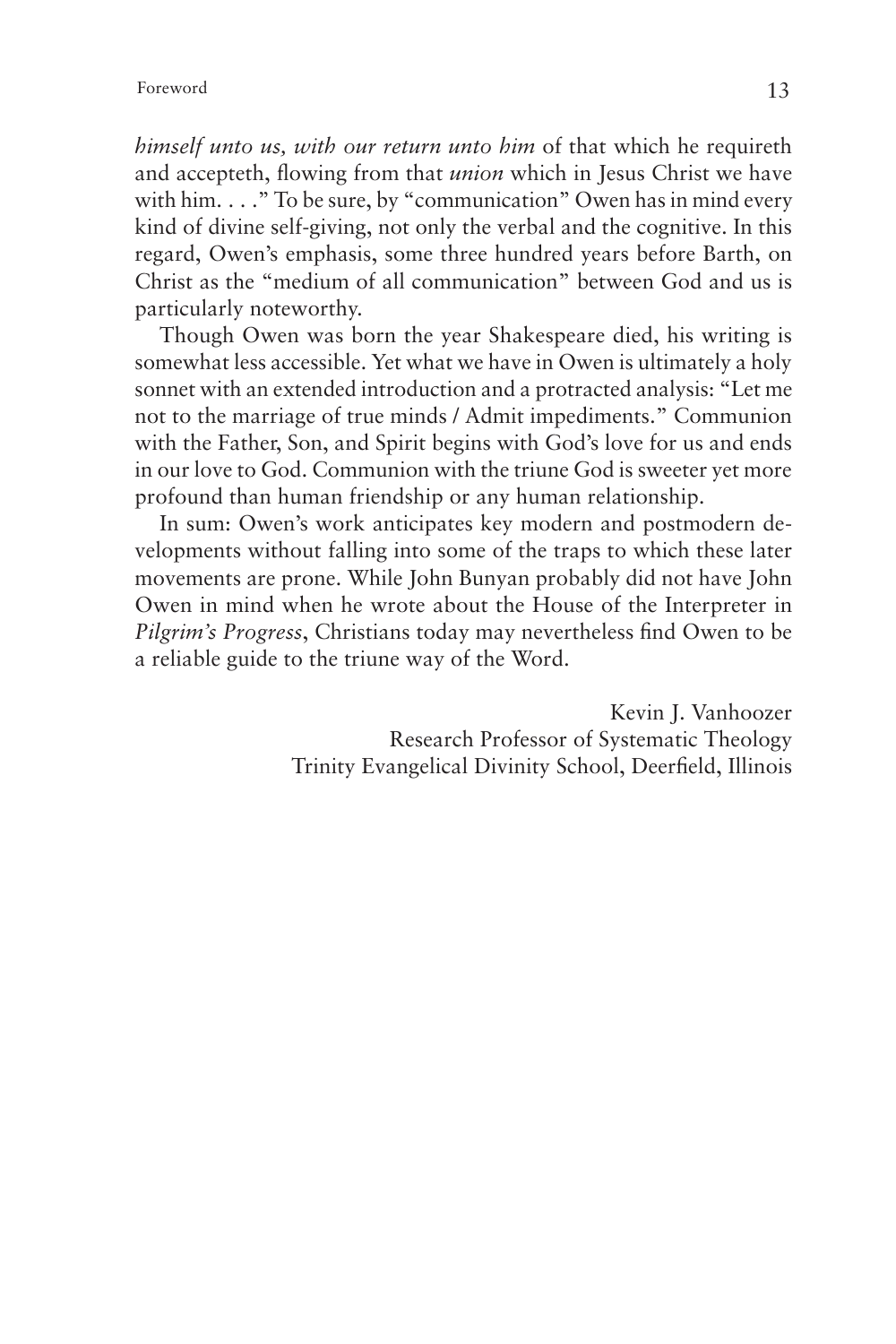*himself unto us, with our return unto him* of that which he requireth and accepteth, flowing from that *union* which in Jesus Christ we have with him. . . . " To be sure, by "communication" Owen has in mind every kind of divine self-giving, not only the verbal and the cognitive. In this regard, Owen's emphasis, some three hundred years before Barth, on Christ as the "medium of all communication" between God and us is particularly noteworthy.

Though Owen was born the year Shakespeare died, his writing is somewhat less accessible. Yet what we have in Owen is ultimately a holy sonnet with an extended introduction and a protracted analysis: "Let me not to the marriage of true minds / Admit impediments." Communion with the Father, Son, and Spirit begins with God's love for us and ends in our love to God. Communion with the triune God is sweeter yet more profound than human friendship or any human relationship.

In sum: Owen's work anticipates key modern and postmodern developments without falling into some of the traps to which these later movements are prone. While John Bunyan probably did not have John Owen in mind when he wrote about the House of the Interpreter in *Pilgrim's Progress*, Christians today may nevertheless find Owen to be a reliable guide to the triune way of the Word.

> Kevin J. Vanhoozer Research Professor of Systematic Theology Trinity Evangelical Divinity School, Deerfield, Illinois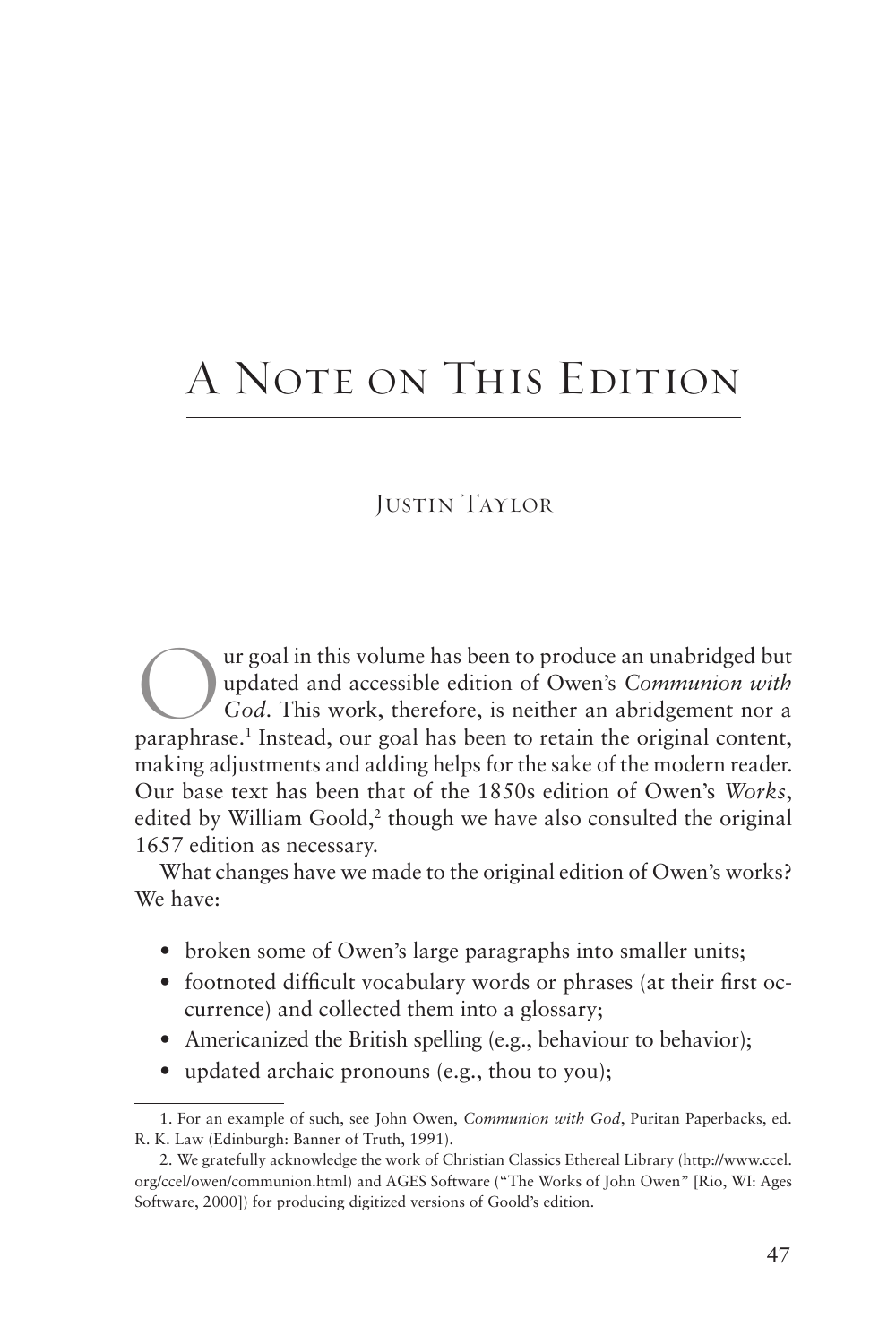# A NOTE ON THIS EDITION

#### **IUSTIN TAYLOR**

Uur goal in this volume has been to produce an unabridged but updated and accessible edition of Owen's *Communion with* God. This work, therefore, is neither an abridgement nor a paraphrase.<sup>1</sup> Instead, our goal has been t updated and accessible edition of Owen's *Communion with God*. This work, therefore, is neither an abridgement nor a making adjustments and adding helps for the sake of the modern reader. Our base text has been that of the 1850s edition of Owen's *Works*, edited by William Goold, $2$  though we have also consulted the original 1657 edition as necessary.

What changes have we made to the original edition of Owen's works? We have:

- broken some of Owen's large paragraphs into smaller units;
- footnoted difficult vocabulary words or phrases (at their first occurrence) and collected them into a glossary;
- Americanized the British spelling (e.g., behaviour to behavior);
- updated archaic pronouns (e.g., thou to you);

<sup>1.</sup> For an example of such, see John Owen, *Communion with God*, Puritan Paperbacks, ed. R. K. Law (Edinburgh: Banner of Truth, 1991).

<sup>2.</sup> We gratefully acknowledge the work of Christian Classics Ethereal Library (http://www.ccel. org/ccel/owen/communion.html) and AGES Software ("The Works of John Owen" [Rio, WI: Ages Software, 2000]) for producing digitized versions of Goold's edition.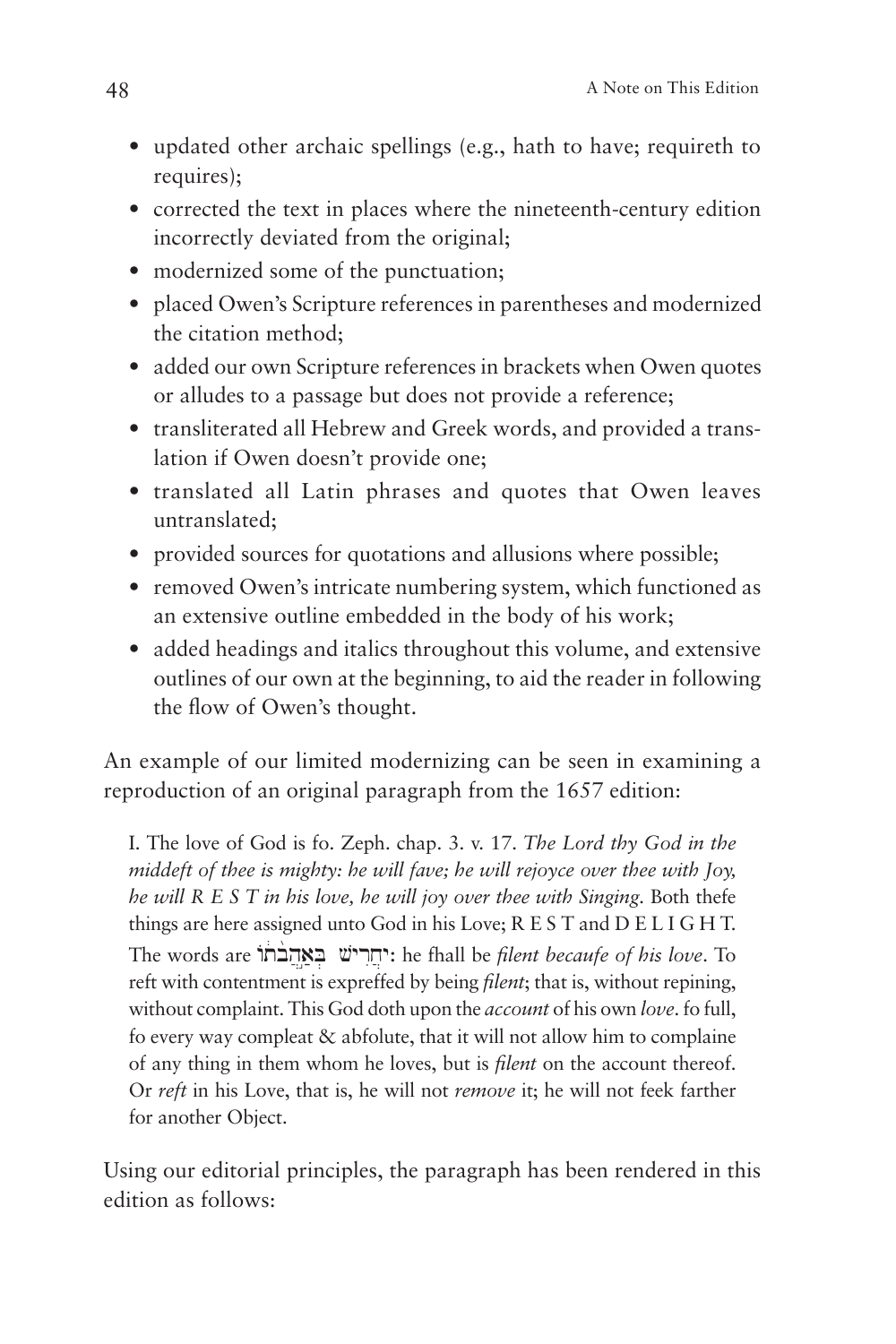- updated other archaic spellings (e.g., hath to have; requireth to requires);
- corrected the text in places where the nineteenth-century edition incorrectly deviated from the original;
- modernized some of the punctuation;
- placed Owen's Scripture references in parentheses and modernized the citation method;
- added our own Scripture references in brackets when Owen quotes or alludes to a passage but does not provide a reference;
- transliterated all Hebrew and Greek words, and provided a translation if Owen doesn't provide one;
- translated all Latin phrases and quotes that Owen leaves untranslated;
- provided sources for quotations and allusions where possible;
- removed Owen's intricate numbering system, which functioned as an extensive outline embedded in the body of his work;
- added headings and italics throughout this volume, and extensive outlines of our own at the beginning, to aid the reader in following the flow of Owen's thought.

An example of our limited modernizing can be seen in examining a reproduction of an original paragraph from the 1657 edition:

I. The love of God is fo. Zeph. chap. 3. v. 17. *The Lord thy God in the middeft of thee is mighty: he will fave; he will rejoyce over thee with Joy, he will R E S T in his love, he will joy over thee with Singing.* Both thefe things are here assigned unto God in his Love; R E S T and D E L I G H T. The words are יחריש: he fhall be *filent becaufe of his love*. To reft with contentment is expreffed by being *filent*; that is, without repining, without complaint. This God doth upon the *account* of his own *love*. fo full, fo every way compleat & abfolute, that it will not allow him to complaine of any thing in them whom he loves, but is *filent* on the account thereof. Or *reft* in his Love, that is, he will not *remove* it; he will not feek farther for another Object.

Using our editorial principles, the paragraph has been rendered in this edition as follows: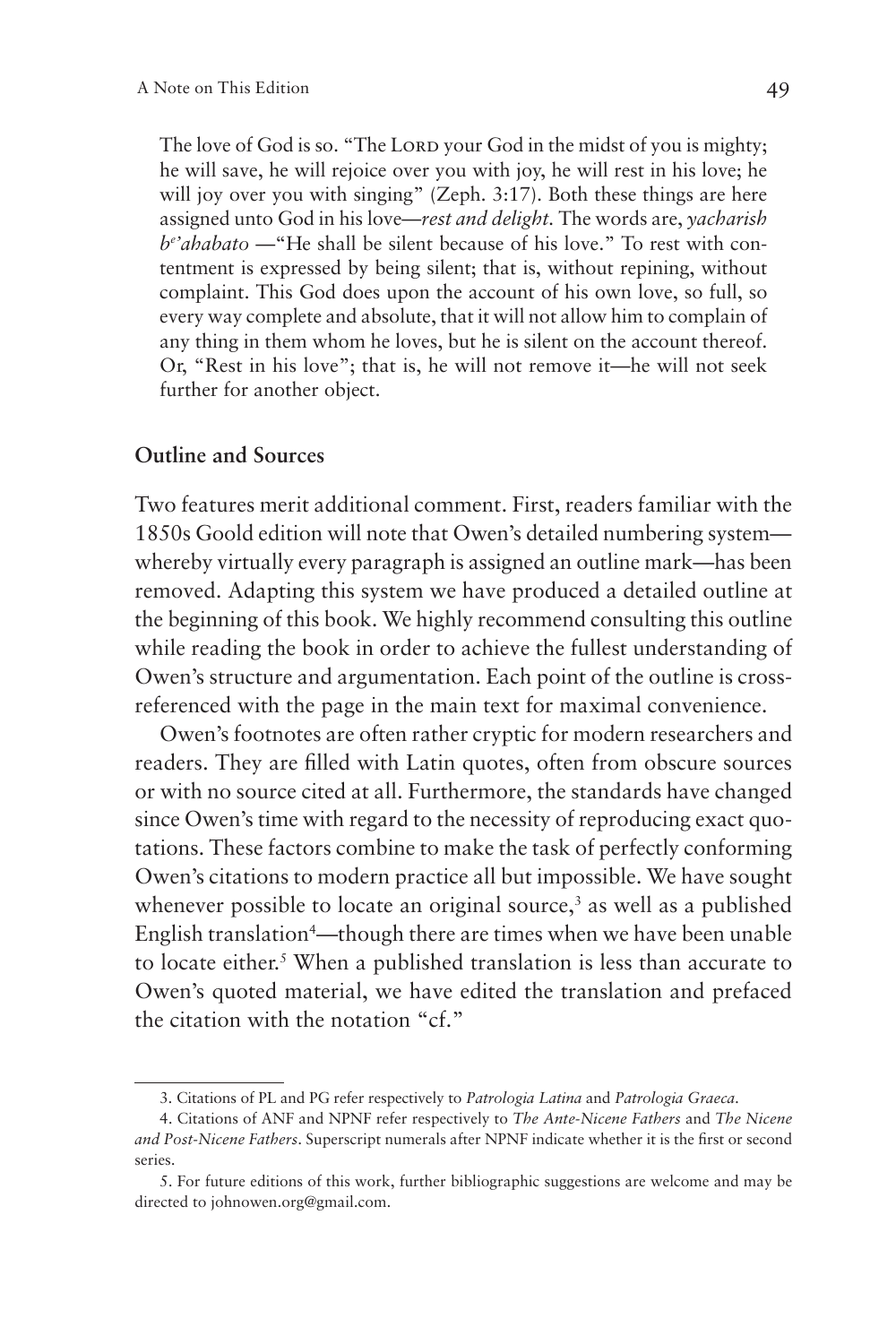The love of God is so. "The LORD your God in the midst of you is mighty; he will save, he will rejoice over you with joy, he will rest in his love; he will joy over you with singing" (Zeph. 3:17). Both these things are here assigned unto God in his love—*rest and delight.* The words are, *yacharish be 'ahabato* —"He shall be silent because of his love." To rest with contentment is expressed by being silent; that is, without repining, without complaint. This God does upon the account of his own love, so full, so every way complete and absolute, that it will not allow him to complain of any thing in them whom he loves, but he is silent on the account thereof. Or, "Rest in his love"; that is, he will not remove it—he will not seek further for another object.

#### **Outline and Sources**

Two features merit additional comment. First, readers familiar with the 1850s Goold edition will note that Owen's detailed numbering system whereby virtually every paragraph is assigned an outline mark—has been removed. Adapting this system we have produced a detailed outline at the beginning of this book. We highly recommend consulting this outline while reading the book in order to achieve the fullest understanding of Owen's structure and argumentation. Each point of the outline is crossreferenced with the page in the main text for maximal convenience.

Owen's footnotes are often rather cryptic for modern researchers and readers. They are filled with Latin quotes, often from obscure sources or with no source cited at all. Furthermore, the standards have changed since Owen's time with regard to the necessity of reproducing exact quotations. These factors combine to make the task of perfectly conforming Owen's citations to modern practice all but impossible. We have sought whenever possible to locate an original source,<sup>3</sup> as well as a published English translation<sup>4</sup>—though there are times when we have been unable to locate either.<sup>5</sup> When a published translation is less than accurate to Owen's quoted material, we have edited the translation and prefaced the citation with the notation "cf."

<sup>3.</sup> Citations of PL and PG refer respectively to *Patrologia Latina* and *Patrologia Graeca*.

<sup>4.</sup> Citations of ANF and NPNF refer respectively to *The Ante-Nicene Fathers* and *The Nicene and Post-Nicene Fathers*. Superscript numerals after NPNF indicate whether it is the first or second series.

<sup>5.</sup> For future editions of this work, further bibliographic suggestions are welcome and may be directed to johnowen.org@gmail.com.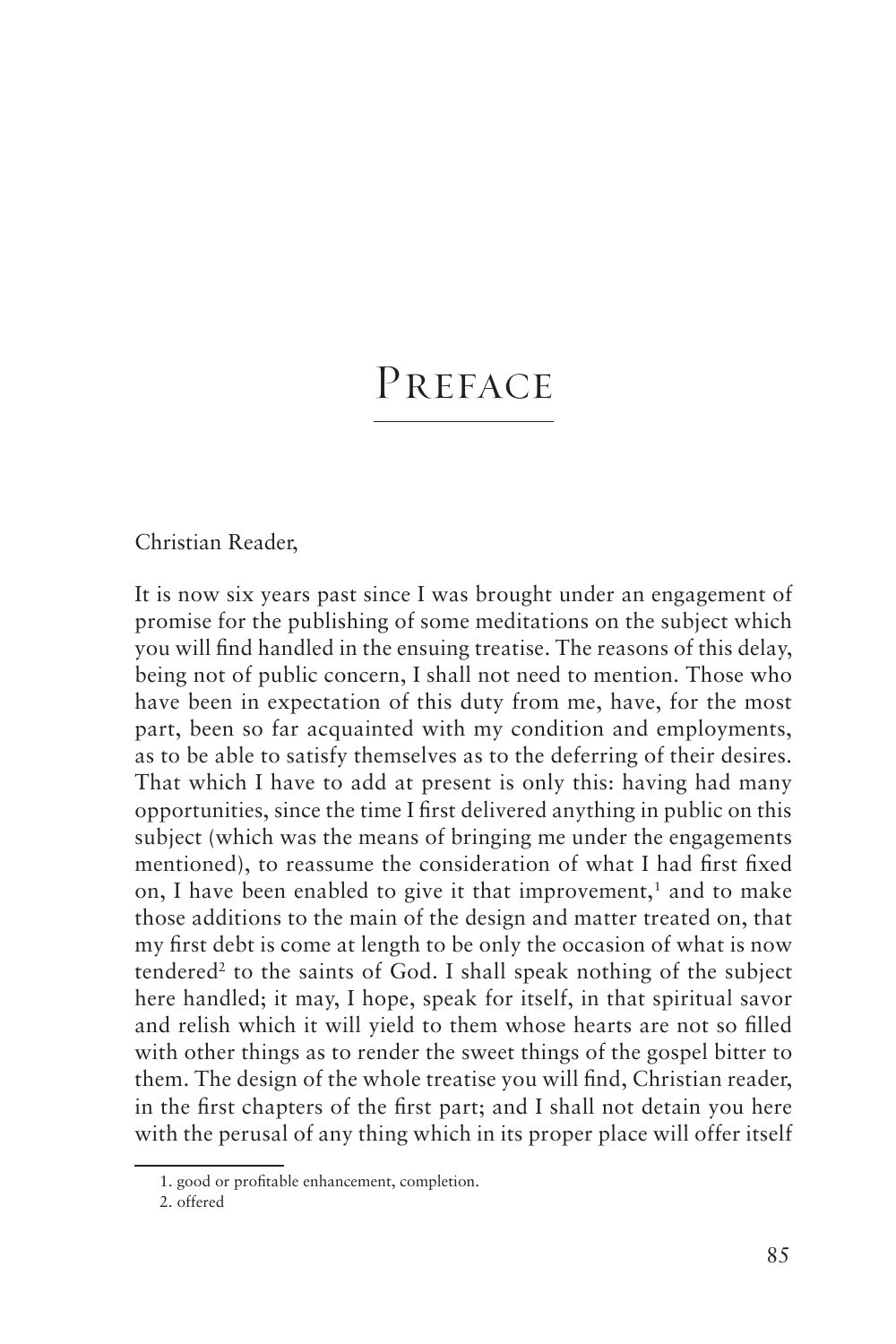### PREFACE

#### Christian Reader,

It is now six years past since I was brought under an engagement of promise for the publishing of some meditations on the subject which you will find handled in the ensuing treatise. The reasons of this delay, being not of public concern, I shall not need to mention. Those who have been in expectation of this duty from me, have, for the most part, been so far acquainted with my condition and employments, as to be able to satisfy themselves as to the deferring of their desires. That which I have to add at present is only this: having had many opportunities, since the time I first delivered anything in public on this subject (which was the means of bringing me under the engagements mentioned), to reassume the consideration of what I had first fixed on, I have been enabled to give it that improvement, $<sup>1</sup>$  and to make</sup> those additions to the main of the design and matter treated on, that my first debt is come at length to be only the occasion of what is now tendered<sup>2</sup> to the saints of God. I shall speak nothing of the subject here handled; it may, I hope, speak for itself, in that spiritual savor and relish which it will yield to them whose hearts are not so filled with other things as to render the sweet things of the gospel bitter to them. The design of the whole treatise you will find, Christian reader, in the first chapters of the first part; and I shall not detain you here with the perusal of any thing which in its proper place will offer itself

<sup>1.</sup> good or profitable enhancement, completion.

<sup>2.</sup> offered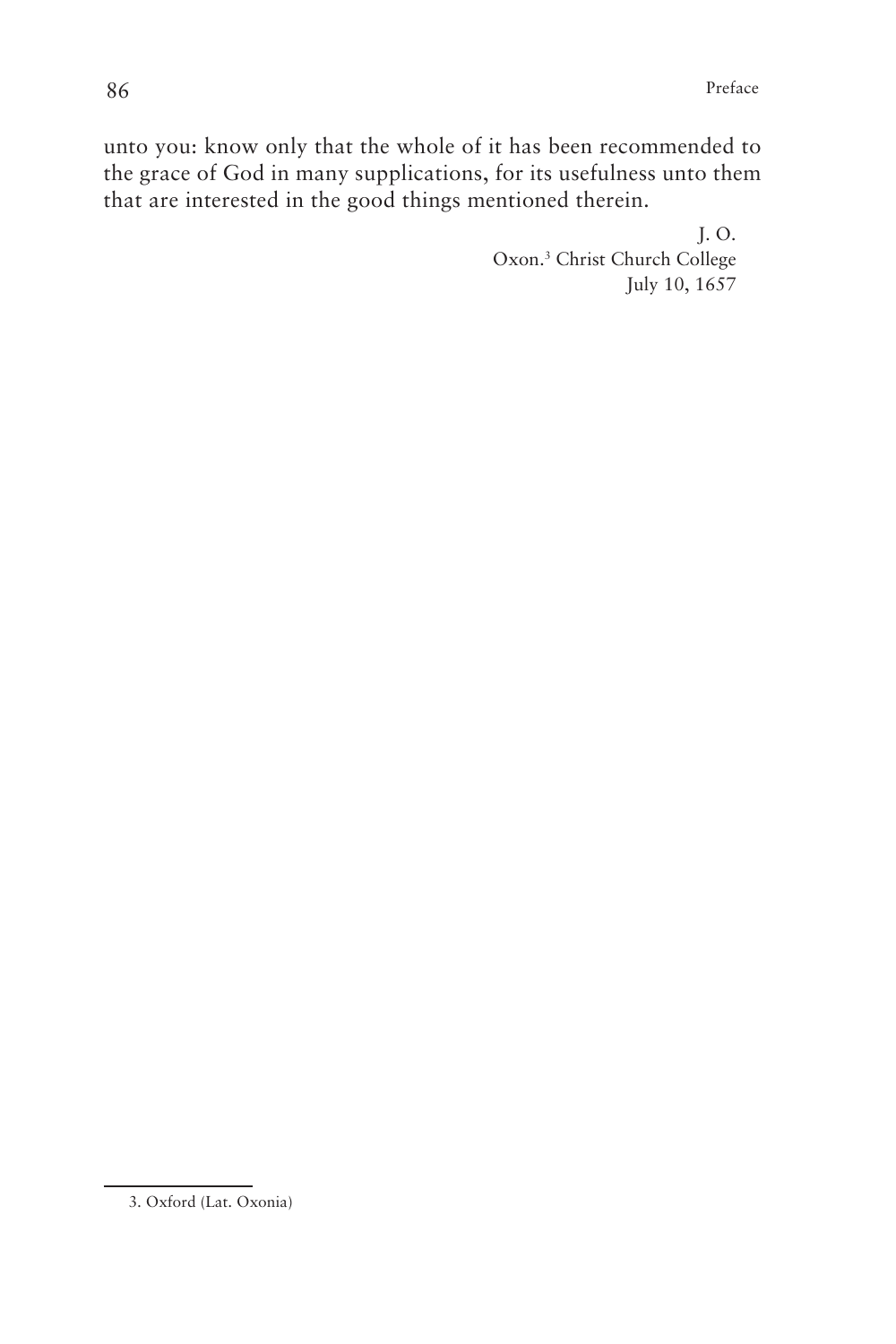unto you: know only that the whole of it has been recommended to the grace of God in many supplications, for its usefulness unto them that are interested in the good things mentioned therein.

> J. O. Oxon.3 Christ Church College July 10, 1657

<sup>3.</sup> Oxford (Lat. Oxonia)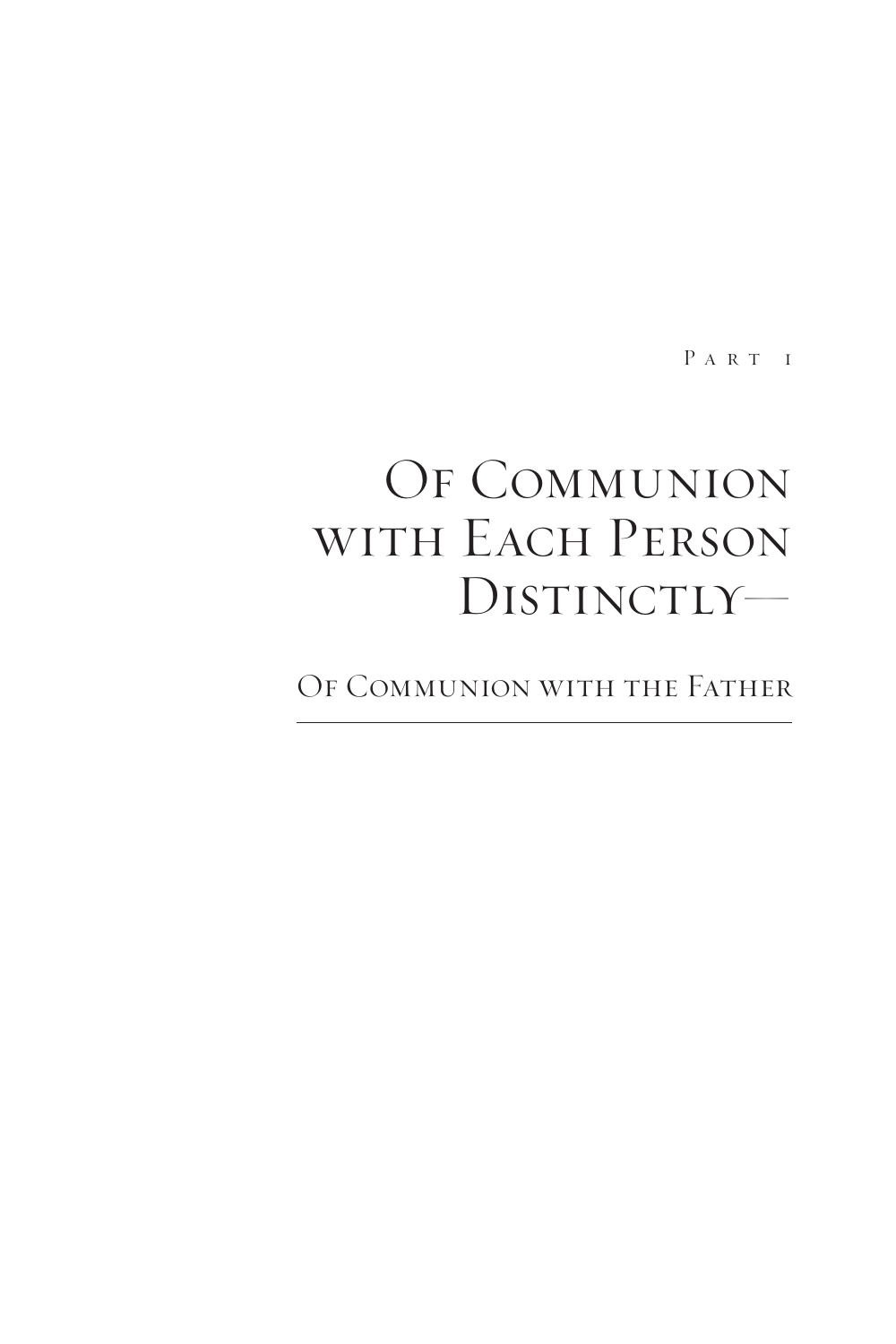PART I

# OF COMMUNION WITH EACH PERSON DISTINCTLY-

OF COMMUNION WITH THE FATHER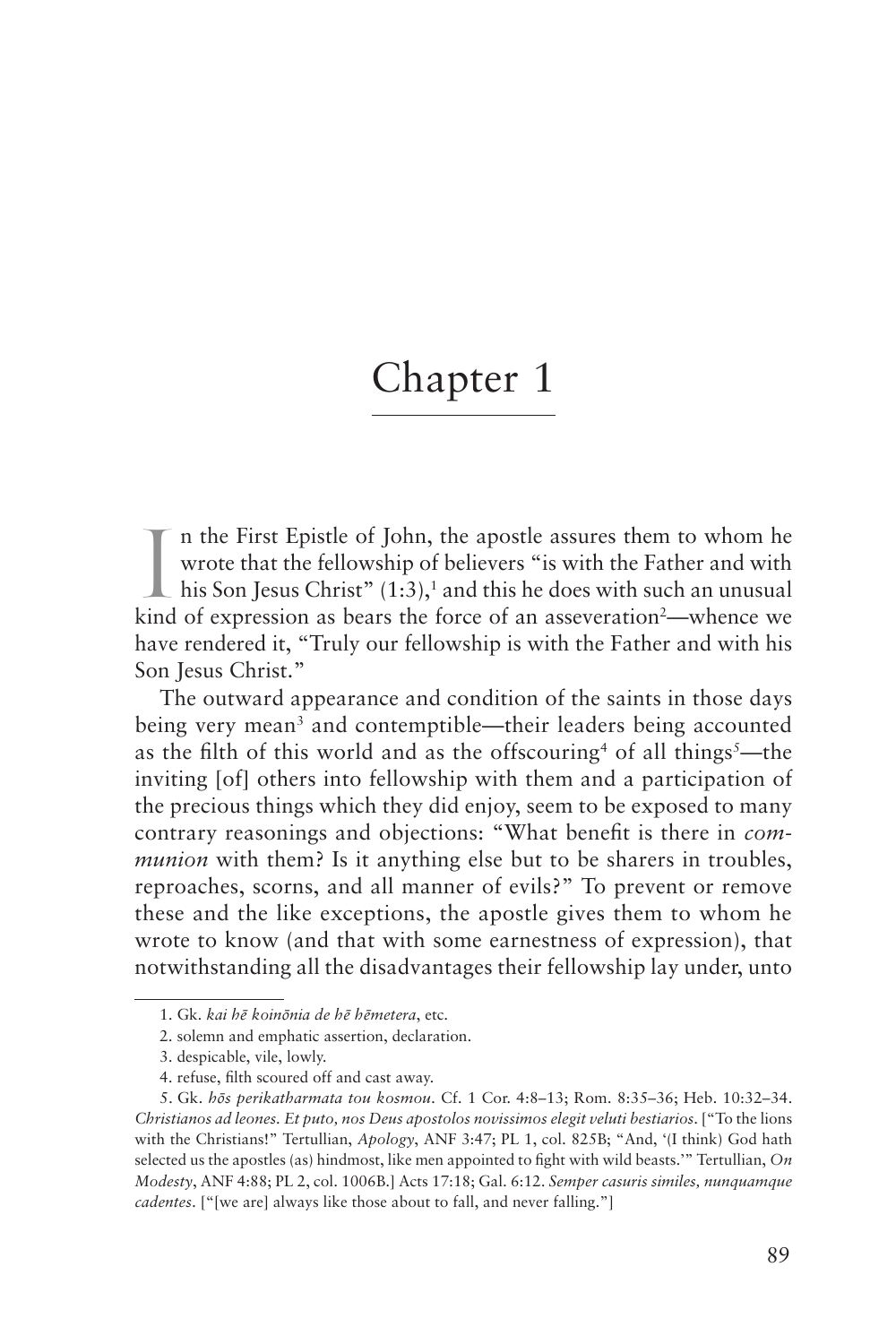## Chapter 1

In the First Epistle of John, the apostle assures them to whom he wrote that the fellowship of believers "is with the Father and with his Son Jesus Christ"  $(1:3)$ ,<sup>1</sup> and this he does with such an unusual kind of express n the First Epistle of John, the apostle assures them to whom he wrote that the fellowship of believers "is with the Father and with his Son Jesus Christ" (1:3),<sup>1</sup> and this he does with such an unusual have rendered it, "Truly our fellowship is with the Father and with his Son Jesus Christ."

The outward appearance and condition of the saints in those days being very mean<sup>3</sup> and contemptible—their leaders being accounted as the filth of this world and as the offscouring<sup>4</sup> of all things<sup>5</sup>—the inviting [of] others into fellowship with them and a participation of the precious things which they did enjoy, seem to be exposed to many contrary reasonings and objections: "What benefit is there in *communion* with them? Is it anything else but to be sharers in troubles, reproaches, scorns, and all manner of evils?" To prevent or remove these and the like exceptions, the apostle gives them to whom he wrote to know (and that with some earnestness of expression), that notwithstanding all the disadvantages their fellowship lay under, unto

<sup>1.</sup> Gk. *kai hē koinōnia de hē hēmetera*, etc.

<sup>2.</sup> solemn and emphatic assertion, declaration.

<sup>3.</sup> despicable, vile, lowly.

<sup>4.</sup> refuse, filth scoured off and cast away.

<sup>5.</sup> Gk. *hōs perikatharmata tou kosmou*. Cf. 1 Cor. 4:8–13; Rom. 8:35–36; Heb. 10:32–34. *Christianos ad leones. Et puto, nos Deus apostolos novissimos elegit veluti bestiarios*. ["To the lions with the Christians!" Tertullian, *Apology*, ANF 3:47; PL 1, col. 825B; "And, '(I think) God hath selected us the apostles (as) hindmost, like men appointed to fight with wild beasts.'" Tertullian, *On Modesty*, ANF 4:88; PL 2, col. 1006B.] Acts 17:18; Gal. 6:12. *Semper casuris similes, nunquamque cadentes*. ["[we are] always like those about to fall, and never falling."]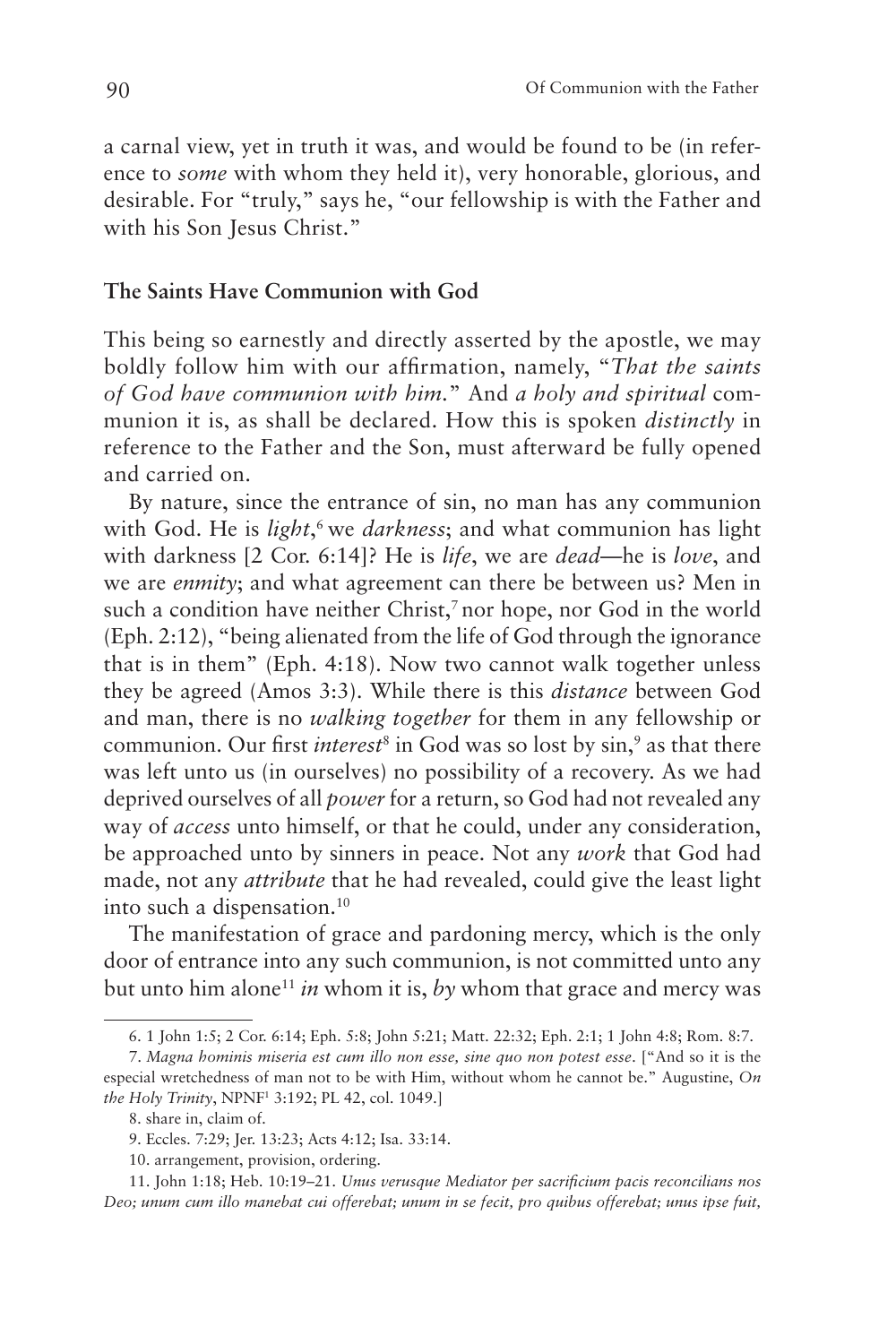a carnal view, yet in truth it was, and would be found to be (in reference to *some* with whom they held it), very honorable, glorious, and desirable. For "truly," says he, "our fellowship is with the Father and with his Son Jesus Christ."

#### **The Saints Have Communion with God**

This being so earnestly and directly asserted by the apostle, we may boldly follow him with our affirmation, namely, "*That the saints of God have communion with him.*" And *a holy and spiritual* communion it is, as shall be declared. How this is spoken *distinctly* in reference to the Father and the Son, must afterward be fully opened and carried on.

By nature, since the entrance of sin, no man has any communion with God. He is *light*,<sup>6</sup> we *darkness*; and what communion has light with darkness [2 Cor. 6:14]? He is *life*, we are *dead*—he is *love*, and we are *enmity*; and what agreement can there be between us? Men in such a condition have neither Christ,<sup>7</sup> nor hope, nor God in the world (Eph. 2:12), "being alienated from the life of God through the ignorance that is in them" (Eph. 4:18). Now two cannot walk together unless they be agreed (Amos 3:3). While there is this *distance* between God and man, there is no *walking together* for them in any fellowship or communion. Our first *interest*<sup>8</sup> in God was so lost by sin,<sup>9</sup> as that there was left unto us (in ourselves) no possibility of a recovery. As we had deprived ourselves of all *power* for a return, so God had not revealed any way of *access* unto himself, or that he could, under any consideration, be approached unto by sinners in peace. Not any *work* that God had made, not any *attribute* that he had revealed, could give the least light into such a dispensation.10

The manifestation of grace and pardoning mercy, which is the only door of entrance into any such communion, is not committed unto any but unto him alone<sup>11</sup> in whom it is, by whom that grace and mercy was

<sup>6. 1</sup> John 1:5; 2 Cor. 6:14; Eph. 5:8; John 5:21; Matt. 22:32; Eph. 2:1; 1 John 4:8; Rom. 8:7.

<sup>7.</sup> *Magna hominis miseria est cum illo non esse, sine quo non potest esse*. ["And so it is the especial wretchedness of man not to be with Him, without whom he cannot be." Augustine, *On the Holy Trinity*, NPNF1 3:192; PL 42, col. 1049.]

<sup>8.</sup> share in, claim of.

<sup>9.</sup> Eccles. 7:29; Jer. 13:23; Acts 4:12; Isa. 33:14.

<sup>10.</sup> arrangement, provision, ordering.

<sup>11.</sup> John 1:18; Heb. 10:19–21. *Unus verusque Mediator per sacrificium pacis reconcilians nos Deo; unum cum illo manebat cui offerebat; unum in se fecit, pro quibus offerebat; unus ipse fuit,*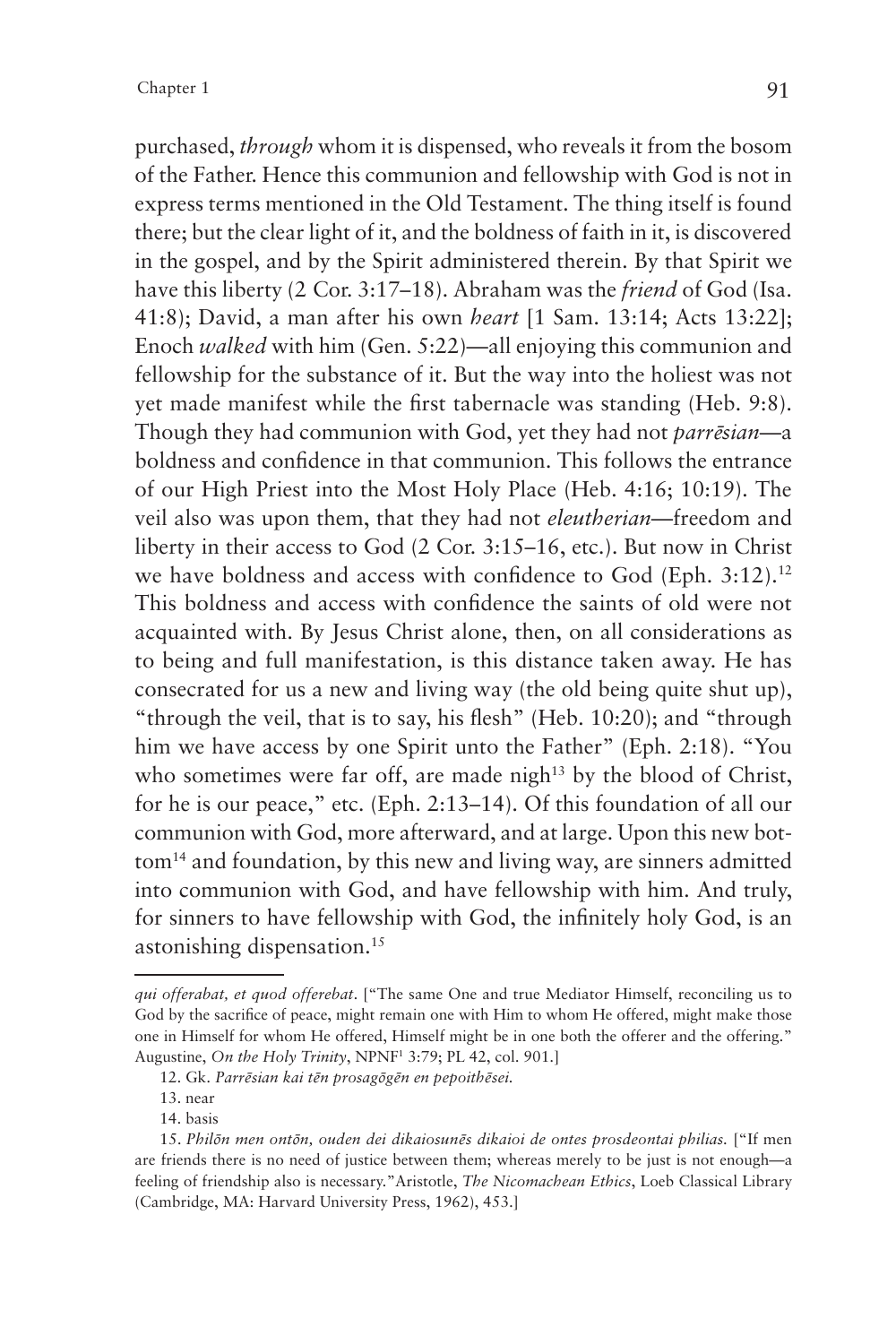purchased, *through* whom it is dispensed, who reveals it from the bosom of the Father. Hence this communion and fellowship with God is not in express terms mentioned in the Old Testament. The thing itself is found there; but the clear light of it, and the boldness of faith in it, is discovered in the gospel, and by the Spirit administered therein. By that Spirit we have this liberty (2 Cor. 3:17–18). Abraham was the *friend* of God (Isa. 41:8); David, a man after his own *heart* [1 Sam. 13:14; Acts 13:22]; Enoch *walked* with him (Gen. 5:22)—all enjoying this communion and fellowship for the substance of it. But the way into the holiest was not yet made manifest while the first tabernacle was standing (Heb. 9:8). Though they had communion with God, yet they had not *parrēsian*—a boldness and confidence in that communion. This follows the entrance of our High Priest into the Most Holy Place (Heb. 4:16; 10:19). The veil also was upon them, that they had not *eleutherian*—freedom and liberty in their access to God (2 Cor. 3:15–16, etc.). But now in Christ we have boldness and access with confidence to God (Eph. 3:12).<sup>12</sup> This boldness and access with confidence the saints of old were not acquainted with. By Jesus Christ alone, then, on all considerations as to being and full manifestation, is this distance taken away. He has consecrated for us a new and living way (the old being quite shut up), "through the veil, that is to say, his flesh" (Heb. 10:20); and "through him we have access by one Spirit unto the Father" (Eph. 2:18). "You who sometimes were far off, are made nigh<sup>13</sup> by the blood of Christ, for he is our peace," etc. (Eph. 2:13–14). Of this foundation of all our communion with God, more afterward, and at large. Upon this new bottom<sup>14</sup> and foundation, by this new and living way, are sinners admitted into communion with God, and have fellowship with him. And truly, for sinners to have fellowship with God, the infinitely holy God, is an astonishing dispensation.15

*qui offerabat, et quod offerebat*. ["The same One and true Mediator Himself, reconciling us to God by the sacrifice of peace, might remain one with Him to whom He offered, might make those one in Himself for whom He offered, Himself might be in one both the offerer and the offering." Augustine, *On the Holy Trinity*, NPNF1 3:79; PL 42, col. 901.]

<sup>12.</sup> Gk. *Parrēsian kai tēn prosagōgēn en pepoithēsei.*

<sup>13.</sup> near

<sup>14.</sup> basis

<sup>15.</sup> *Philōn men ontōn, ouden dei dikaiosunēs dikaioi de ontes prosdeontai philias.* ["If men are friends there is no need of justice between them; whereas merely to be just is not enough—a feeling of friendship also is necessary."Aristotle, *The Nicomachean Ethics*, Loeb Classical Library (Cambridge, MA: Harvard University Press, 1962), 453.]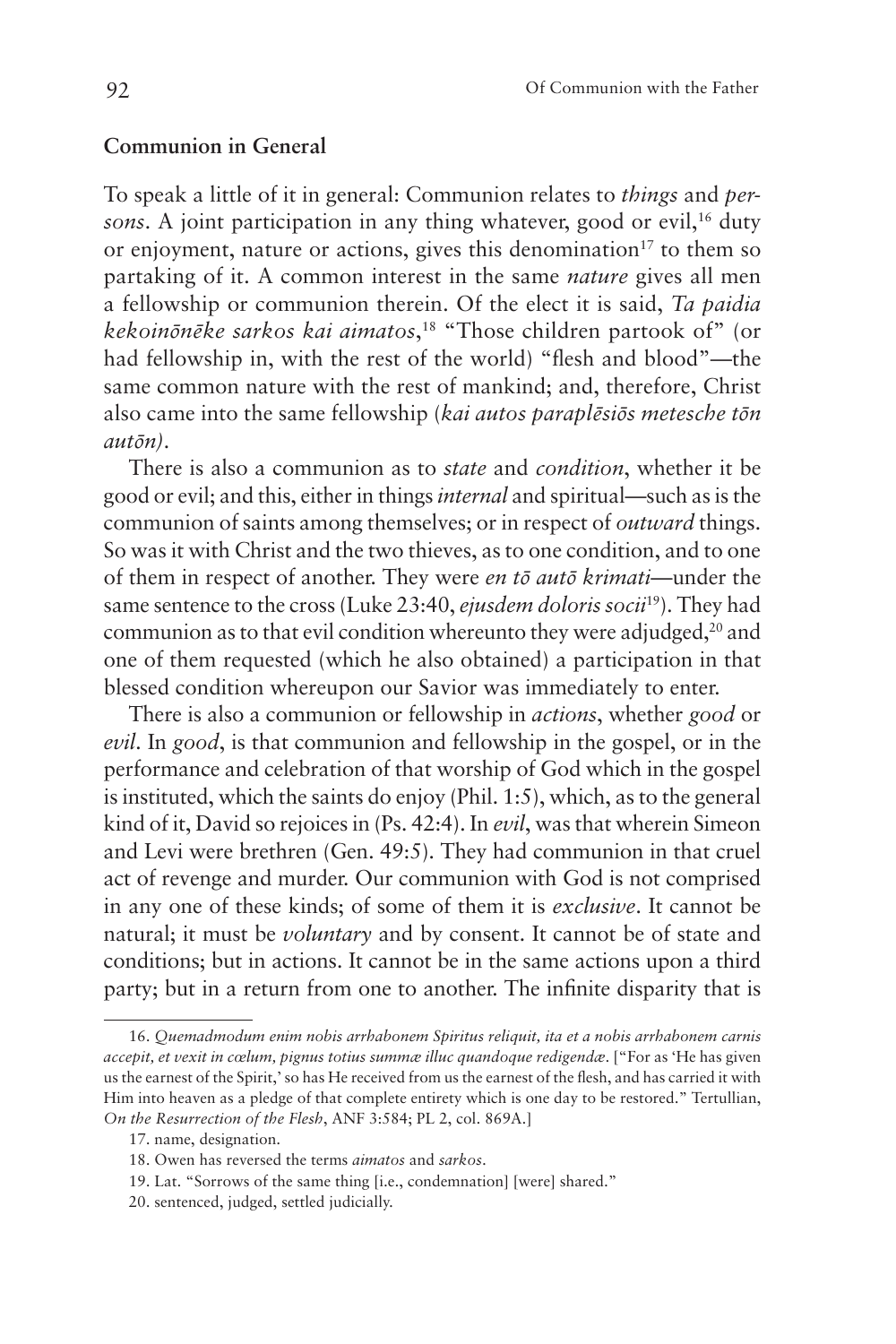#### **Communion in General**

To speak a little of it in general: Communion relates to *things* and *per*sons. A joint participation in any thing whatever, good or evil,<sup>16</sup> duty or enjoyment, nature or actions, gives this denomination<sup>17</sup> to them so partaking of it. A common interest in the same *nature* gives all men a fellowship or communion therein. Of the elect it is said, *Ta paidia kekoinōnēke sarkos kai aimatos*, 18 "Those children partook of" (or had fellowship in, with the rest of the world) "flesh and blood"—the same common nature with the rest of mankind; and, therefore, Christ also came into the same fellowship (*kai autos paraplēsiōs metesche tōn autōn)*.

There is also a communion as to *state* and *condition*, whether it be good or evil; and this, either in things *internal* and spiritual—such as is the communion of saints among themselves; or in respect of *outward* things. So was it with Christ and the two thieves, as to one condition, and to one of them in respect of another. They were *en tō autō krimati*—under the same sentence to the cross (Luke 23:40, *ejusdem doloris socii*19). They had communion as to that evil condition whereunto they were adjudged, $20$  and one of them requested (which he also obtained) a participation in that blessed condition whereupon our Savior was immediately to enter.

There is also a communion or fellowship in *actions*, whether *good* or *evil*. In *good*, is that communion and fellowship in the gospel, or in the performance and celebration of that worship of God which in the gospel is instituted, which the saints do enjoy (Phil. 1:5), which, as to the general kind of it, David so rejoices in (Ps. 42:4). In *evil*, was that wherein Simeon and Levi were brethren (Gen. 49:5). They had communion in that cruel act of revenge and murder. Our communion with God is not comprised in any one of these kinds; of some of them it is *exclusive*. It cannot be natural; it must be *voluntary* and by consent. It cannot be of state and conditions; but in actions. It cannot be in the same actions upon a third party; but in a return from one to another. The infinite disparity that is

<sup>16.</sup> *Quemadmodum enim nobis arrhabonem Spiritus reliquit, ita et a nobis arrhabonem carnis accepit, et vexit in cœlum, pignus totius summæ illuc quandoque redigendæ*. ["For as 'He has given us the earnest of the Spirit,' so has He received from us the earnest of the flesh, and has carried it with Him into heaven as a pledge of that complete entirety which is one day to be restored." Tertullian, *On the Resurrection of the Flesh*, ANF 3:584; PL 2, col. 869A.]

<sup>17.</sup> name, designation.

<sup>18.</sup> Owen has reversed the terms *aimatos* and *sarkos*.

<sup>19.</sup> Lat. "Sorrows of the same thing [i.e., condemnation] [were] shared."

<sup>20.</sup> sentenced, judged, settled judicially.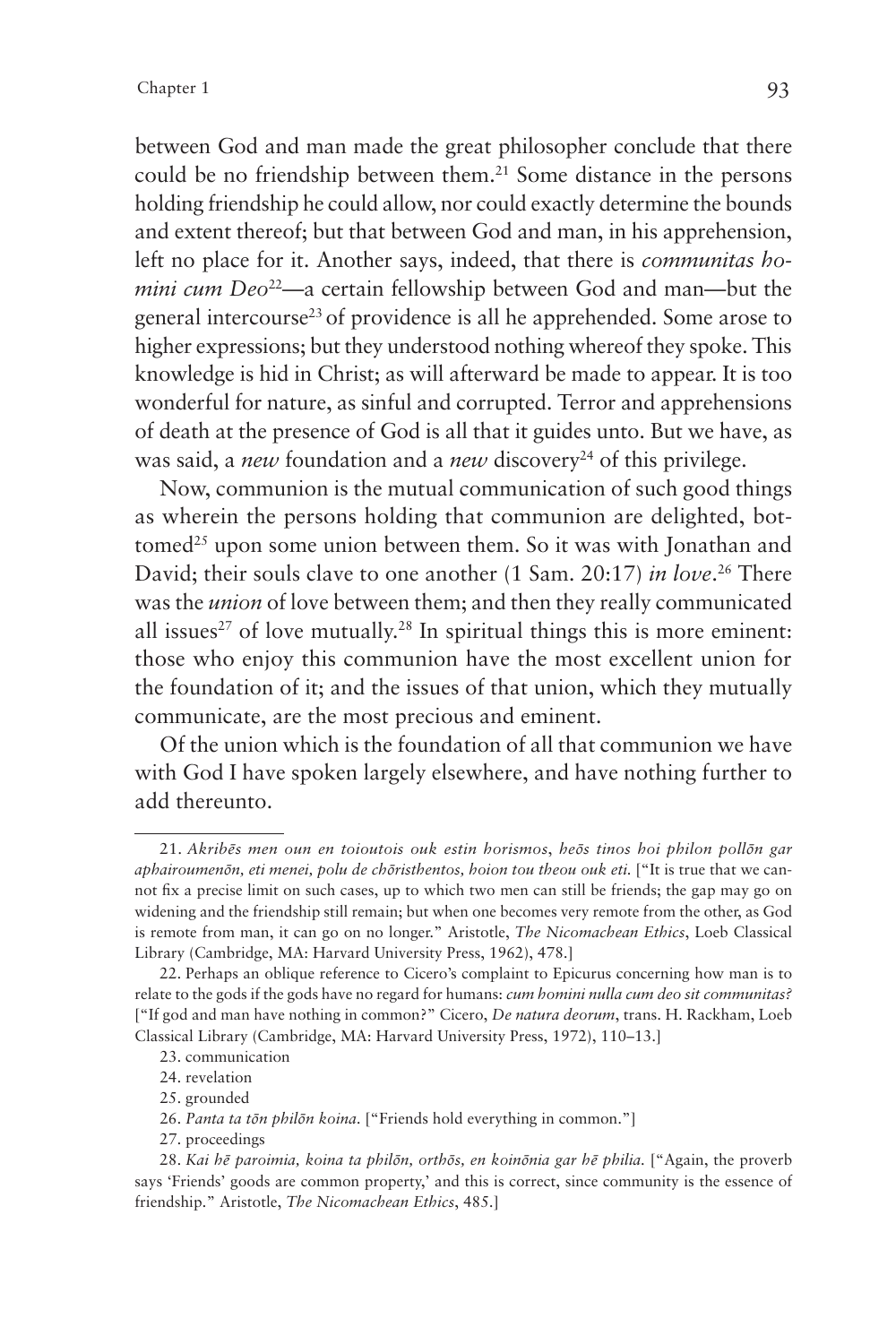between God and man made the great philosopher conclude that there could be no friendship between them.<sup>21</sup> Some distance in the persons holding friendship he could allow, nor could exactly determine the bounds and extent thereof; but that between God and man, in his apprehension, left no place for it. Another says, indeed, that there is *communitas homini cum Deo*<sup>22</sup>—a certain fellowship between God and man—but the general intercourse<sup>23</sup> of providence is all he apprehended. Some arose to higher expressions; but they understood nothing whereof they spoke. This knowledge is hid in Christ; as will afterward be made to appear. It is too wonderful for nature, as sinful and corrupted. Terror and apprehensions of death at the presence of God is all that it guides unto. But we have, as was said, a *new* foundation and a *new* discovery<sup>24</sup> of this privilege.

Now, communion is the mutual communication of such good things as wherein the persons holding that communion are delighted, bottomed<sup>25</sup> upon some union between them. So it was with Jonathan and David; their souls clave to one another (1 Sam. 20:17) *in love*. 26 There was the *union* of love between them; and then they really communicated all issues<sup>27</sup> of love mutually.<sup>28</sup> In spiritual things this is more eminent: those who enjoy this communion have the most excellent union for the foundation of it; and the issues of that union, which they mutually communicate, are the most precious and eminent.

Of the union which is the foundation of all that communion we have with God I have spoken largely elsewhere, and have nothing further to add thereunto.

<sup>21.</sup> *Akribēs men oun en toioutois ouk estin horismos*, *heōs tinos hoi philon pollōn gar aphairoumenōn, eti menei, polu de chōristhentos, hoion tou theou ouk eti.* ["It is true that we cannot fix a precise limit on such cases, up to which two men can still be friends; the gap may go on widening and the friendship still remain; but when one becomes very remote from the other, as God is remote from man, it can go on no longer." Aristotle, *The Nicomachean Ethics*, Loeb Classical Library (Cambridge, MA: Harvard University Press, 1962), 478.]

<sup>22.</sup> Perhaps an oblique reference to Cicero's complaint to Epicurus concerning how man is to relate to the gods if the gods have no regard for humans: *cum homini nulla cum deo sit communitas?* ["If god and man have nothing in common?" Cicero, *De natura deorum*, trans. H. Rackham, Loeb Classical Library (Cambridge, MA: Harvard University Press, 1972), 110–13.]

<sup>23.</sup> communication

<sup>24.</sup> revelation

<sup>25.</sup> grounded

<sup>26.</sup> *Panta ta tōn philōn koina*. ["Friends hold everything in common."]

<sup>27.</sup> proceedings

<sup>28.</sup> *Kai hē paroimia, koina ta philōn, orthōs, en koinōnia gar hē philia.* ["Again, the proverb says 'Friends' goods are common property,' and this is correct, since community is the essence of friendship." Aristotle, *The Nicomachean Ethics*, 485.]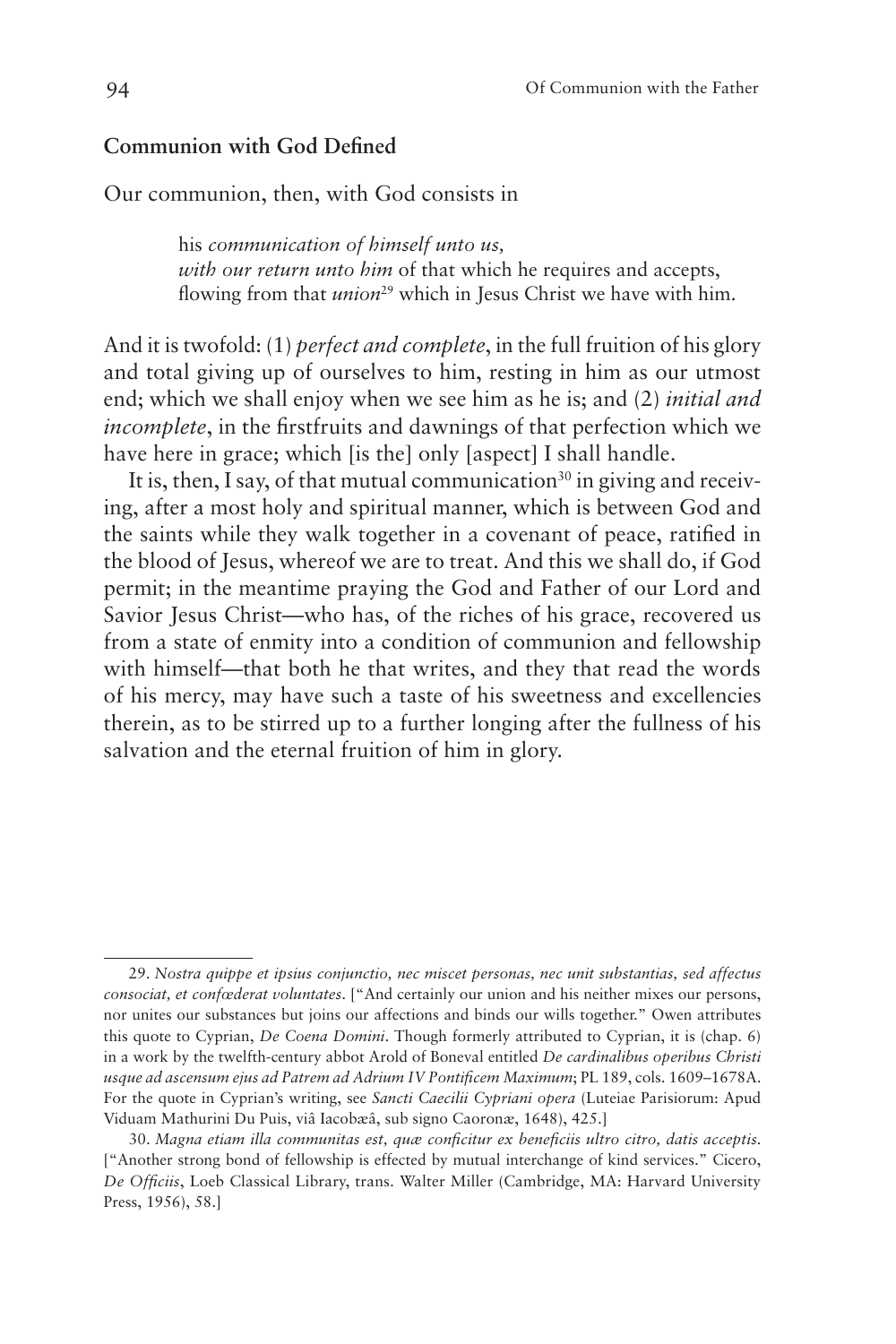#### **Communion with God Defined**

Our communion, then, with God consists in

his *communication of himself unto us, with our return unto him* of that which he requires and accepts, flowing from that *union*<sup>29</sup> which in Jesus Christ we have with him.

And it is twofold: (1) *perfect and complete*, in the full fruition of his glory and total giving up of ourselves to him, resting in him as our utmost end; which we shall enjoy when we see him as he is; and (2) *initial and incomplete*, in the firstfruits and dawnings of that perfection which we have here in grace; which [is the] only [aspect] I shall handle.

It is, then, I say, of that mutual communication<sup>30</sup> in giving and receiving, after a most holy and spiritual manner, which is between God and the saints while they walk together in a covenant of peace, ratified in the blood of Jesus, whereof we are to treat. And this we shall do, if God permit; in the meantime praying the God and Father of our Lord and Savior Jesus Christ—who has, of the riches of his grace, recovered us from a state of enmity into a condition of communion and fellowship with himself—that both he that writes, and they that read the words of his mercy, may have such a taste of his sweetness and excellencies therein, as to be stirred up to a further longing after the fullness of his salvation and the eternal fruition of him in glory.

<sup>29.</sup> *Nostra quippe et ipsius conjunctio, nec miscet personas, nec unit substantias, sed affectus consociat, et confœderat voluntates*. ["And certainly our union and his neither mixes our persons, nor unites our substances but joins our affections and binds our wills together." Owen attributes this quote to Cyprian, *De Coena Domini*. Though formerly attributed to Cyprian, it is (chap. 6) in a work by the twelfth-century abbot Arold of Boneval entitled *De cardinalibus operibus Christi usque ad ascensum ejus ad Patrem ad Adrium IV Pontificem Maximum*; PL 189, cols. 1609–1678A. For the quote in Cyprian's writing, see *Sancti Caecilii Cypriani opera* (Luteiae Parisiorum: Apud Viduam Mathurini Du Puis, viâ Iacobæâ, sub signo Caoronæ, 1648), 425.]

<sup>30.</sup> *Magna etiam illa communitas est, quæ conficitur ex beneficiis ultro citro, datis acceptis*. ["Another strong bond of fellowship is effected by mutual interchange of kind services." Cicero, *De Officiis*, Loeb Classical Library, trans. Walter Miller (Cambridge, MA: Harvard University Press, 1956), 58.]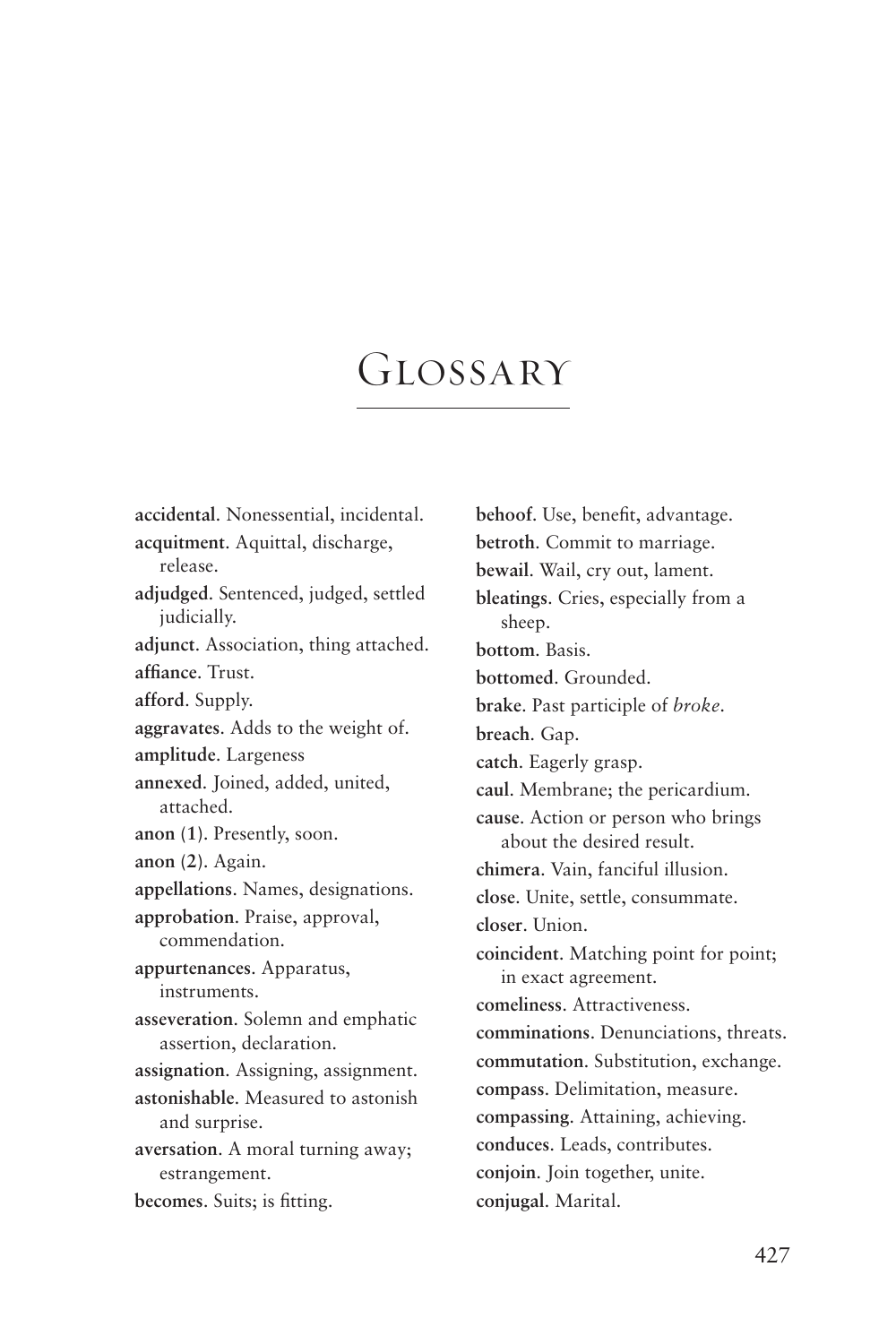### $GLOSARY$

**accidental**. Nonessential, incidental. **acquitment**. Aquittal, discharge, release. **adjudged**. Sentenced, judged, settled judicially. **adjunct**. Association, thing attached. **affiance**. Trust. **afford**. Supply. **aggravates**. Adds to the weight of. **amplitude**. Largeness **annexed**. Joined, added, united, attached. **anon (1)**. Presently, soon. **anon (2)**. Again. **appellations**. Names, designations. **approbation**. Praise, approval, commendation. **appurtenances**. Apparatus, instruments. **asseveration**. Solemn and emphatic assertion, declaration. **assignation**. Assigning, assignment. **astonishable**. Measured to astonish and surprise. **aversation**. A moral turning away; estrangement. **becomes**. Suits; is fitting.

**behoof**. Use, benefit, advantage. **betroth**. Commit to marriage. **bewail**. Wail, cry out, lament. **bleatings**. Cries, especially from a sheep. **bottom**. Basis. **bottomed**. Grounded. **brake**. Past participle of *broke*. **breach**. Gap. **catch**. Eagerly grasp. **caul**. Membrane; the pericardium. **cause**. Action or person who brings about the desired result. **chimera**. Vain, fanciful illusion. **close**. Unite, settle, consummate. **closer**. Union. **coincident**. Matching point for point; in exact agreement. **comeliness**. Attractiveness. **comminations**. Denunciations, threats. **commutation**. Substitution, exchange. **compass**. Delimitation, measure. **compassing**. Attaining, achieving. **conduces**. Leads, contributes. **conjoin**. Join together, unite. **conjugal**. Marital.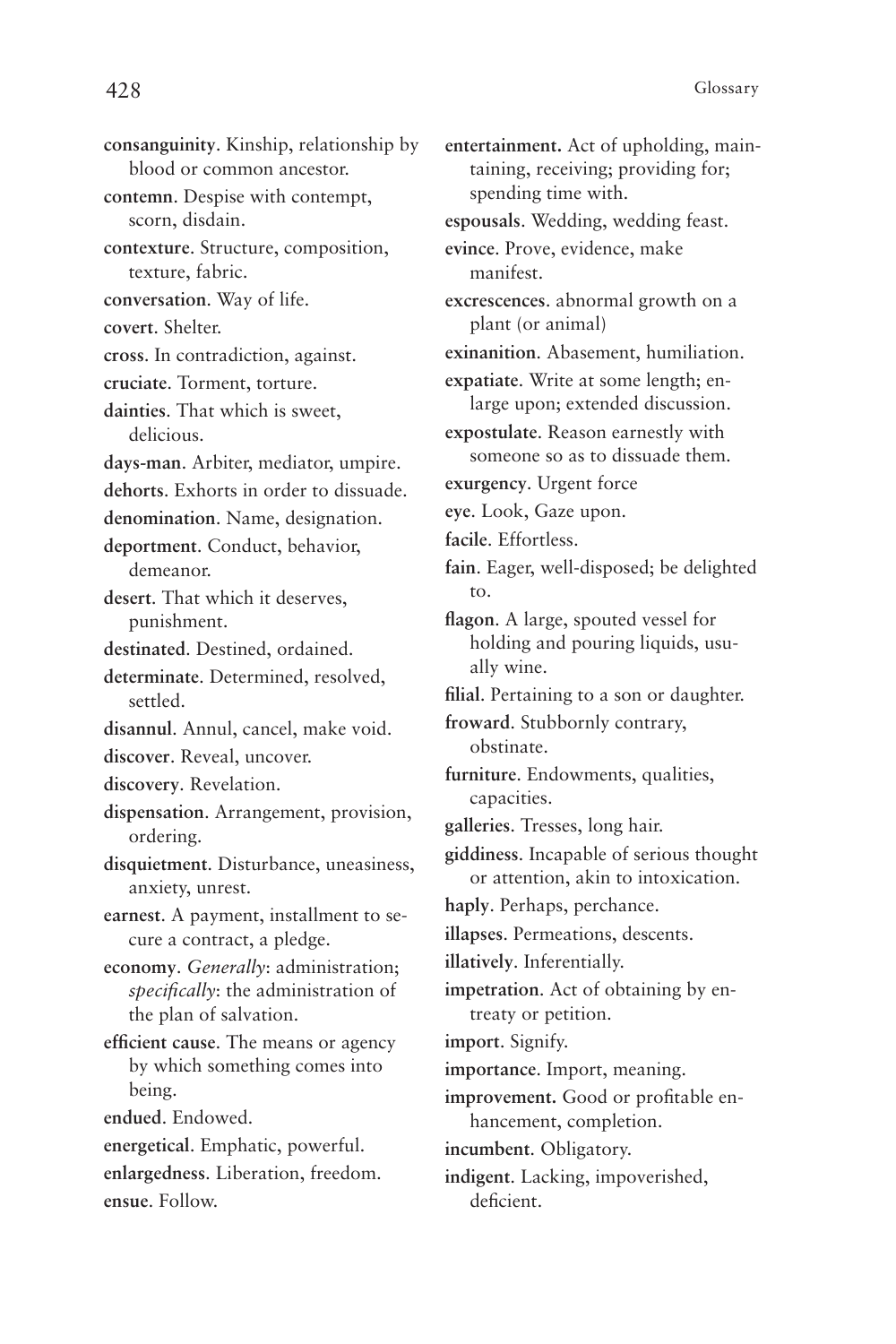**consanguinity**. Kinship, relationship by blood or common ancestor. **contemn**. Despise with contempt, scorn, disdain. **contexture**. Structure, composition, texture, fabric. **conversation**. Way of life. **covert**. Shelter. **cross**. In contradiction, against. **cruciate**. Torment, torture. **dainties**. That which is sweet, delicious. **days-man**. Arbiter, mediator, umpire. **dehorts**. Exhorts in order to dissuade. **denomination**. Name, designation. **deportment**. Conduct, behavior, demeanor. **desert**. That which it deserves, punishment. **destinated**. Destined, ordained. **determinate**. Determined, resolved, settled. **disannul**. Annul, cancel, make void. **discover**. Reveal, uncover. **discovery**. Revelation. **dispensation**. Arrangement, provision, ordering. **disquietment**. Disturbance, uneasiness, anxiety, unrest. **earnest**. A payment, installment to secure a contract, a pledge. **economy**. *Generally*: administration; *specifically*: the administration of the plan of salvation. **efficient cause**. The means or agency by which something comes into being. **endued**. Endowed. **energetical**. Emphatic, powerful. **enlargedness**. Liberation, freedom. **ensue**. Follow.

**entertainment.** Act of upholding, maintaining, receiving; providing for; spending time with. **espousals**. Wedding, wedding feast. **evince**. Prove, evidence, make manifest. **excrescences**. abnormal growth on a plant (or animal) **exinanition**. Abasement, humiliation. **expatiate**. Write at some length; enlarge upon; extended discussion. **expostulate**. Reason earnestly with someone so as to dissuade them. **exurgency**. Urgent force **eye**. Look, Gaze upon. **facile**. Effortless. **fain**. Eager, well-disposed; be delighted to. **flagon**. A large, spouted vessel for holding and pouring liquids, usually wine. **filial**. Pertaining to a son or daughter. **froward**. Stubbornly contrary, obstinate. **furniture**. Endowments, qualities, capacities. **galleries**. Tresses, long hair. **giddiness**. Incapable of serious thought or attention, akin to intoxication. **haply**. Perhaps, perchance. **illapses**. Permeations, descents. **illatively**. Inferentially. **impetration**. Act of obtaining by entreaty or petition. **import**. Signify. **importance**. Import, meaning. **improvement.** Good or profitable enhancement, completion. **incumbent**. Obligatory. **indigent**. Lacking, impoverished, deficient.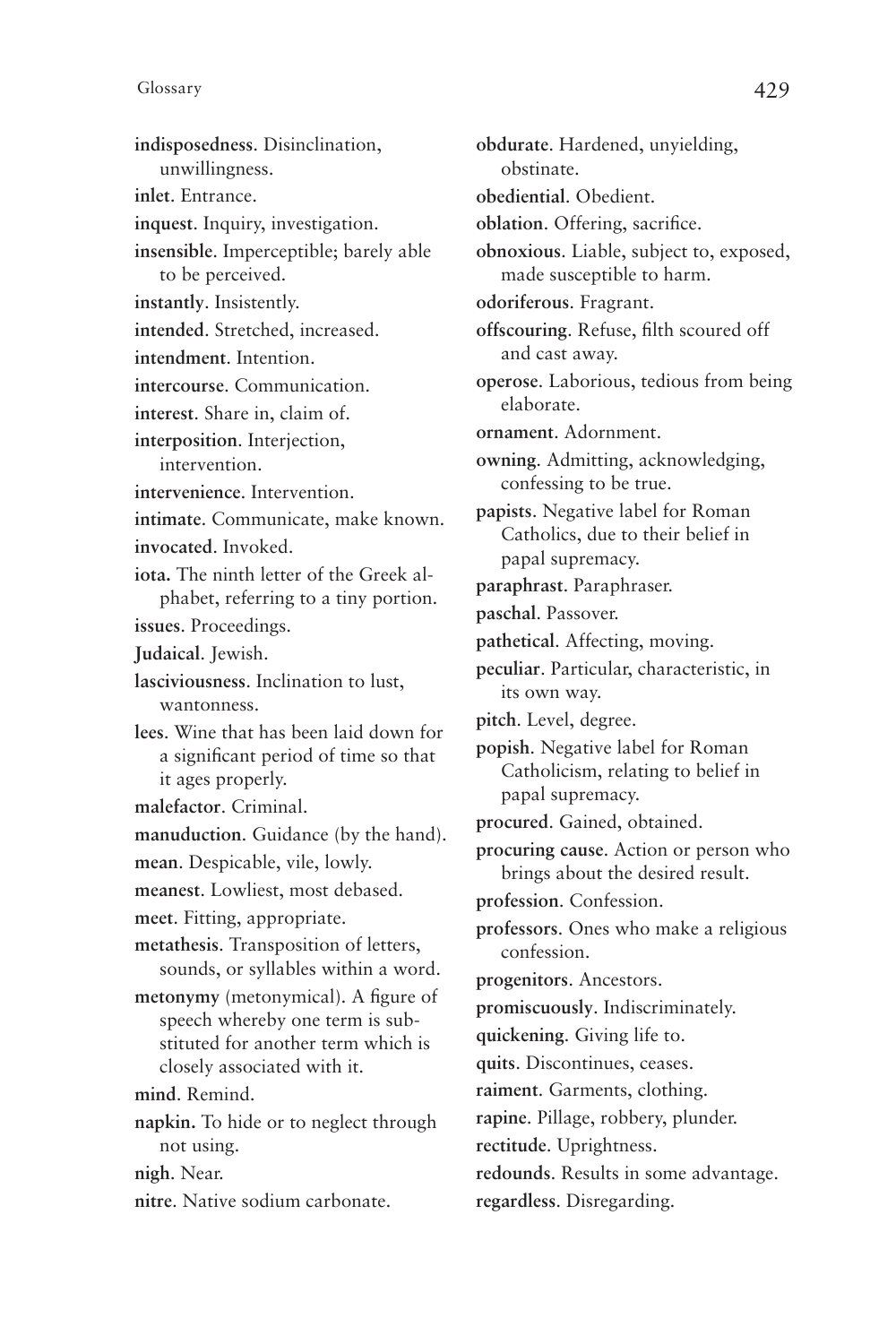**indisposedness**. Disinclination, unwillingness. **inlet**. Entrance. **inquest**. Inquiry, investigation. **insensible**. Imperceptible; barely able to be perceived. **instantly**. Insistently. **intended**. Stretched, increased. **intendment**. Intention. **intercourse**. Communication. **interest**. Share in, claim of. **interposition**. Interjection, intervention. **intervenience**. Intervention. **intimate**. Communicate, make known. **invocated**. Invoked. **iota.** The ninth letter of the Greek alphabet, referring to a tiny portion. **issues**. Proceedings. **Judaical**. Jewish. **lasciviousness**. Inclination to lust, wantonness. **lees**. Wine that has been laid down for a significant period of time so that it ages properly. **malefactor**. Criminal. **manuduction**. Guidance (by the hand). **mean**. Despicable, vile, lowly. **meanest**. Lowliest, most debased. **meet**. Fitting, appropriate. **metathesis**. Transposition of letters, sounds, or syllables within a word. **metonymy** (metonymical). A figure of speech whereby one term is substituted for another term which is closely associated with it. **mind**. Remind. **napkin.** To hide or to neglect through not using. **nigh**. Near. **nitre**. Native sodium carbonate.

**obdurate**. Hardened, unyielding, obstinate. **obediential**. Obedient. **oblation**. Offering, sacrifice. **obnoxious**. Liable, subject to, exposed, made susceptible to harm. **odoriferous**. Fragrant. **offscouring**. Refuse, filth scoured off and cast away. **operose**. Laborious, tedious from being elaborate. **ornament**. Adornment. **owning**. Admitting, acknowledging, confessing to be true. **papists**. Negative label for Roman Catholics, due to their belief in papal supremacy. **paraphrast**. Paraphraser. **paschal**. Passover. **pathetical**. Affecting, moving. **peculiar**. Particular, characteristic, in its own way. **pitch**. Level, degree. **popish**. Negative label for Roman Catholicism, relating to belief in papal supremacy. **procured**. Gained, obtained. **procuring cause**. Action or person who brings about the desired result. **profession**. Confession. **professors**. Ones who make a religious confession. **progenitors**. Ancestors. **promiscuously**. Indiscriminately. **quickening**. Giving life to. **quits**. Discontinues, ceases. **raiment**. Garments, clothing. **rapine**. Pillage, robbery, plunder. **rectitude**. Uprightness. **redounds**. Results in some advantage. **regardless**. Disregarding.